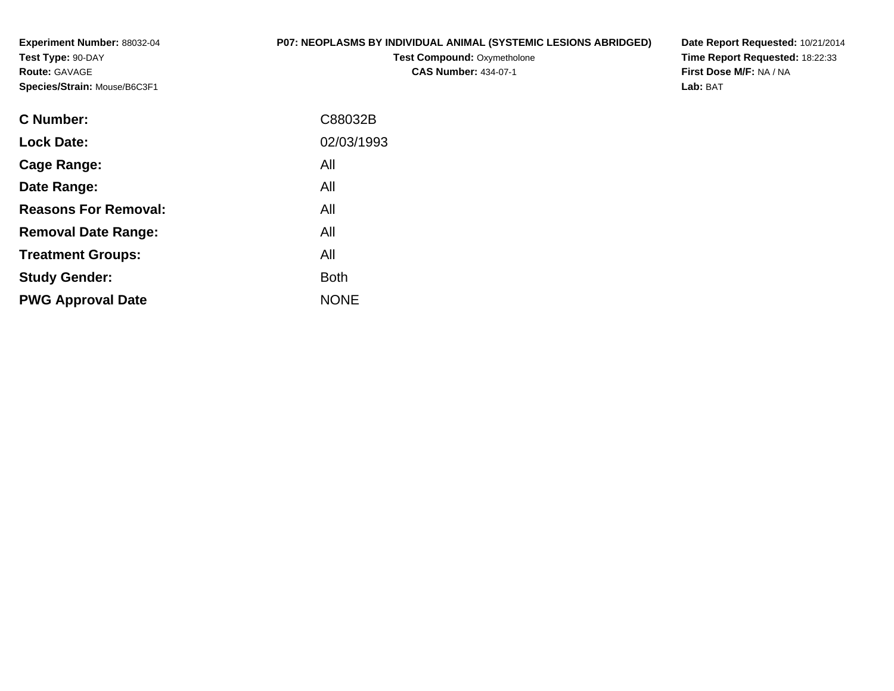**Experiment Number:** 88032-04**Test Type:** 90-DAY**Route:** GAVAGE**Species/Strain:** Mouse/B6C3F1

## **P07: NEOPLASMS BY INDIVIDUAL ANIMAL (SYSTEMIC LESIONS ABRIDGED)**

**Test Compound: Oxymetholone CAS Number:** 434-07-1

**Date Report Requested:** 10/21/2014 **Time Report Requested:** 18:22:33**First Dose M/F:** NA / NA**Lab:** BAT

| C88032B     |
|-------------|
| 02/03/1993  |
| All         |
| All         |
| All         |
| All         |
| All         |
| <b>Both</b> |
| <b>NONE</b> |
|             |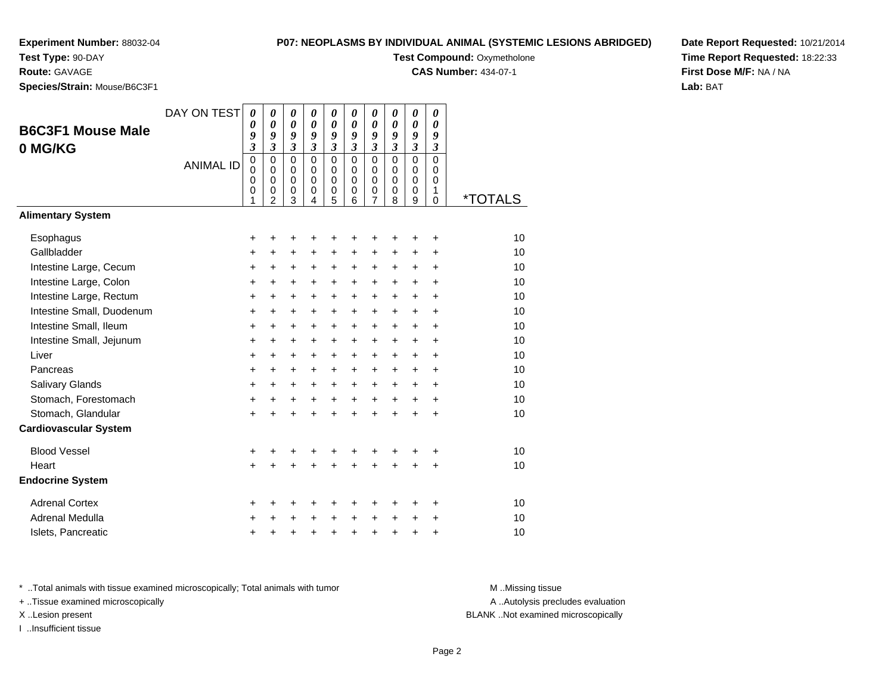## **P07: NEOPLASMS BY INDIVIDUAL ANIMAL (SYSTEMIC Test Compound: Oxymetholone**

**CAS Number:** 434-07-1

**Test Type:** 90-DAY

**Route:** GAVAGE

**Species/Strain:** Mouse/B6C3F1

| C LESIONS ABRIDGED) | Date Report Requested: 10/21/2014 |
|---------------------|-----------------------------------|
|                     | Time Report Requested: 18:22:33   |
|                     | <b>First Dose M/F: NA / NA</b>    |
|                     | <b>Lab:</b> BAT                   |

|                              | DAY ON TEST      | 0                           | 0                       | 0                          | 0                                         | $\boldsymbol{\theta}$      | 0                          | 0                          | 0                          | 0                       | 0                          |                       |
|------------------------------|------------------|-----------------------------|-------------------------|----------------------------|-------------------------------------------|----------------------------|----------------------------|----------------------------|----------------------------|-------------------------|----------------------------|-----------------------|
| <b>B6C3F1 Mouse Male</b>     |                  | 0<br>9                      | 0<br>9                  | $\boldsymbol{\theta}$<br>9 | $\boldsymbol{\theta}$<br>$\boldsymbol{g}$ | $\theta$<br>9              | $\boldsymbol{\theta}$<br>9 | 0<br>9                     | $\boldsymbol{\theta}$<br>9 | 0<br>9                  | $\boldsymbol{\theta}$<br>9 |                       |
| 0 MG/KG                      |                  | $\boldsymbol{\mathfrak{z}}$ | 3                       | $\mathfrak{z}$             | $\mathfrak{z}$                            | 3                          | 3                          | $\overline{\mathbf{3}}$    | $\overline{\mathbf{3}}$    | $\overline{\mathbf{3}}$ | $\overline{\mathbf{3}}$    |                       |
|                              | <b>ANIMAL ID</b> | $\mathbf 0$                 | $\mathbf 0$             | $\mathbf 0$                | $\Omega$                                  | $\mathbf 0$                | $\mathbf 0$                | $\mathbf 0$                | $\mathbf 0$                | $\overline{0}$          | $\overline{0}$             |                       |
|                              |                  | 0<br>0                      | $\Omega$<br>$\mathbf 0$ | $\mathbf 0$<br>$\pmb{0}$   | $\Omega$<br>$\Omega$                      | $\mathbf 0$<br>$\mathsf 0$ | $\Omega$<br>$\Omega$       | $\mathbf 0$<br>$\mathbf 0$ | $\Omega$<br>$\mathbf 0$    | $\Omega$<br>$\mathbf 0$ | 0<br>0                     |                       |
|                              |                  | 0<br>1                      | 0<br>$\overline{2}$     | $\pmb{0}$<br>3             | 0                                         | 0                          | 0                          | 0<br>7                     | 0                          | 0                       | 1                          | <i><b>*TOTALS</b></i> |
| <b>Alimentary System</b>     |                  |                             |                         |                            | 4                                         | 5                          | 6                          |                            | 8                          | 9                       | 0                          |                       |
| Esophagus                    |                  | +                           | +                       | ٠                          | +                                         | +                          |                            | +                          |                            | +                       | +                          | 10                    |
| Gallbladder                  |                  | +                           | $\ddot{}$               | $\ddot{}$                  | $\ddot{}$                                 | +                          | $\ddot{}$                  | +                          | $\ddot{}$                  | +                       | $\ddot{}$                  | 10                    |
| Intestine Large, Cecum       |                  | +                           | +                       | $\ddot{}$                  | +                                         | $\pm$                      | $\ddot{}$                  | $\pm$                      | $\ddot{}$                  | $\ddot{}$               | $\ddot{}$                  | 10                    |
| Intestine Large, Colon       |                  | +                           | +                       | +                          | +                                         | +                          | $\ddot{}$                  | $\ddot{}$                  | $\ddot{}$                  | $\ddot{}$               | $\ddot{}$                  | 10                    |
| Intestine Large, Rectum      |                  | $\ddot{}$                   | $\ddot{}$               | $\ddot{}$                  | $\ddot{}$                                 | $\pm$                      | $\ddot{}$                  | $\ddot{}$                  | $+$                        | $\ddot{}$               | $\ddot{}$                  | 10                    |
| Intestine Small, Duodenum    |                  | +                           | +                       | +                          | +                                         | +                          | $\ddot{}$                  | +                          | $\pm$                      | $\ddot{}$               | +                          | 10                    |
| Intestine Small, Ileum       |                  | $\ddot{}$                   | $\ddot{}$               | $\ddot{}$                  | $\ddot{}$                                 | +                          | $\ddot{}$                  | $\ddot{}$                  | $+$                        | $\ddot{}$               | $\ddot{}$                  | 10                    |
| Intestine Small, Jejunum     |                  | $\ddot{}$                   | +                       | $\ddot{}$                  | +                                         | $\ddot{}$                  | $\ddot{}$                  | $\ddot{}$                  | $\ddot{}$                  | $\ddot{}$               | $\ddot{}$                  | 10                    |
| Liver                        |                  | +                           | $\ddot{}$               | $\ddot{}$                  | $\ddot{}$                                 | +                          | $\ddot{}$                  | $\ddot{}$                  | $+$                        | $+$                     | $\ddot{}$                  | 10                    |
| Pancreas                     |                  | +                           | +                       | $\ddot{}$                  | $\ddot{}$                                 | $\pm$                      | $\ddot{}$                  | $\ddot{}$                  | $\pm$                      | $\ddot{}$               | +                          | 10                    |
| Salivary Glands              |                  | +                           | $\ddot{}$               | $\ddot{}$                  | $\ddot{}$                                 | $\ddot{}$                  | $\ddot{}$                  | $\ddot{}$                  | $+$                        | $+$                     | $\ddot{}$                  | 10                    |
| Stomach, Forestomach         |                  | +                           | +                       | +                          | $\ddot{}$                                 | $\ddot{}$                  | $\ddot{}$                  | $\ddot{}$                  | $+$                        | $\ddot{}$               | +                          | 10                    |
| Stomach, Glandular           |                  | +                           |                         | $\ddot{}$                  | $\ddot{}$                                 | $\ddot{}$                  | $\ddot{}$                  | $\ddot{}$                  | $\ddot{}$                  | $\ddot{}$               | $\ddot{}$                  | 10                    |
| <b>Cardiovascular System</b> |                  |                             |                         |                            |                                           |                            |                            |                            |                            |                         |                            |                       |
| <b>Blood Vessel</b>          |                  | +                           | +                       | +                          | +                                         | +                          | +                          | +                          | +                          | +                       | +                          | 10                    |
| Heart                        |                  | $\ddot{}$                   |                         | ÷                          | ÷                                         | $\ddot{}$                  |                            | $\ddot{}$                  |                            |                         | $\ddot{}$                  | 10                    |
| <b>Endocrine System</b>      |                  |                             |                         |                            |                                           |                            |                            |                            |                            |                         |                            |                       |
| <b>Adrenal Cortex</b>        |                  | +                           | +                       | +                          | +                                         | +                          | ٠                          | +                          | ÷                          | ٠                       | ٠                          | 10                    |
| Adrenal Medulla              |                  | +                           | +                       | +                          | +                                         | $\pm$                      | $\ddot{}$                  | $\ddot{}$                  | $\ddot{}$                  | $\pm$                   | +                          | 10                    |
| Islets, Pancreatic           |                  | +                           | +                       | +                          | $\ddot{}$                                 | $\pmb{+}$                  | $\ddot{}$                  | +                          | $\ddot{}$                  | +                       | $\ddot{}$                  | 10                    |

\* ..Total animals with tissue examined microscopically; Total animals with tumor **M** ..Missing tissue M ..Missing tissue

+ ..Tissue examined microscopically

I ..Insufficient tissue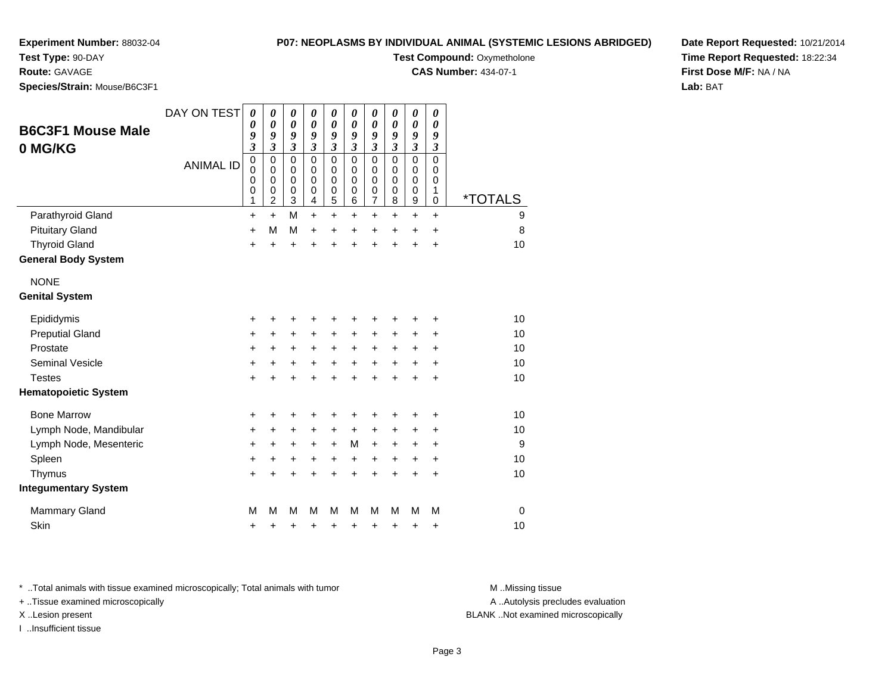**Test Type:** 90-DAY

**Route:** GAVAGE

**Species/Strain:** Mouse/B6C3F1

## **P07: NEOPLASMS BY INDIVIDUAL ANIMAL (SYSTEMIC LESIONS ABRIDGED)**

**Test Compound: Oxymetholone** 

**CAS Number:** 434-07-1

**Date Report Requested:** 10/21/2014**Time Report Requested:** 18:22:34**First Dose M/F:** NA / NA**Lab:** BAT

| <b>B6C3F1 Mouse Male</b><br>0 MG/KG | DAY ON TEST<br><b>ANIMAL ID</b> | $\boldsymbol{\theta}$<br>$\boldsymbol{\theta}$<br>9<br>3<br>$\pmb{0}$<br>$\mathbf 0$<br>$\mathbf 0$<br>0<br>1 | 0<br>$\boldsymbol{\theta}$<br>9<br>$\overline{\mathbf{3}}$<br>$\mathbf 0$<br>$\mathbf 0$<br>$\mathbf 0$<br>0<br>2 | $\boldsymbol{\theta}$<br>$\boldsymbol{\theta}$<br>9<br>$\mathfrak{z}$<br>$\mathbf 0$<br>$\mathbf 0$<br>$\mathbf 0$<br>0<br>3 | $\boldsymbol{\theta}$<br>0<br>9<br>$\mathfrak{z}$<br>$\mathbf 0$<br>$\Omega$<br>$\Omega$<br>0<br>4 | $\boldsymbol{\theta}$<br>$\boldsymbol{\theta}$<br>9<br>$\mathfrak{z}$<br>$\mathbf 0$<br>$\mathbf 0$<br>$\mathbf 0$<br>$\pmb{0}$<br>$\overline{5}$ | 0<br>$\boldsymbol{\theta}$<br>9<br>$\mathfrak{z}$<br>$\Omega$<br>$\Omega$<br>$\Omega$<br>0<br>6 | $\boldsymbol{\theta}$<br>$\boldsymbol{\theta}$<br>9<br>$\mathfrak{z}$<br>$\mathbf 0$<br>$\mathbf 0$<br>$\mathbf 0$<br>0<br>$\overline{7}$ | 0<br>$\boldsymbol{\theta}$<br>9<br>3<br>$\Omega$<br>$\Omega$<br>$\Omega$<br>0<br>8 | $\boldsymbol{\theta}$<br>$\boldsymbol{\theta}$<br>9<br>$\mathfrak{z}$<br>$\pmb{0}$<br>$\pmb{0}$<br>$\mathbf 0$<br>$\pmb{0}$<br>$\mathsf g$ | 0<br>0<br>9<br>$\mathfrak{z}$<br>$\mathbf 0$<br>$\mathbf 0$<br>0<br>1<br>0 | *TOTALS     |
|-------------------------------------|---------------------------------|---------------------------------------------------------------------------------------------------------------|-------------------------------------------------------------------------------------------------------------------|------------------------------------------------------------------------------------------------------------------------------|----------------------------------------------------------------------------------------------------|---------------------------------------------------------------------------------------------------------------------------------------------------|-------------------------------------------------------------------------------------------------|-------------------------------------------------------------------------------------------------------------------------------------------|------------------------------------------------------------------------------------|--------------------------------------------------------------------------------------------------------------------------------------------|----------------------------------------------------------------------------|-------------|
| Parathyroid Gland                   |                                 | $\ddot{}$                                                                                                     | $\ddot{}$                                                                                                         | M                                                                                                                            | $\ddot{}$                                                                                          | $+$                                                                                                                                               | $\ddot{}$                                                                                       | $\ddot{}$                                                                                                                                 | $\ddot{}$                                                                          | $\ddot{}$                                                                                                                                  | $\ddot{}$                                                                  | 9           |
| <b>Pituitary Gland</b>              |                                 | +                                                                                                             | M                                                                                                                 | M                                                                                                                            | $\ddot{}$                                                                                          | +                                                                                                                                                 | +                                                                                               | +                                                                                                                                         | $\ddot{}$                                                                          | +                                                                                                                                          | +                                                                          | 8           |
| <b>Thyroid Gland</b>                |                                 | $\ddot{}$                                                                                                     | ÷                                                                                                                 | $\ddot{}$                                                                                                                    | ÷                                                                                                  | $\ddot{}$                                                                                                                                         | $\ddot{}$                                                                                       | $\ddot{}$                                                                                                                                 | +                                                                                  | +                                                                                                                                          | +                                                                          | 10          |
| <b>General Body System</b>          |                                 |                                                                                                               |                                                                                                                   |                                                                                                                              |                                                                                                    |                                                                                                                                                   |                                                                                                 |                                                                                                                                           |                                                                                    |                                                                                                                                            |                                                                            |             |
| <b>NONE</b>                         |                                 |                                                                                                               |                                                                                                                   |                                                                                                                              |                                                                                                    |                                                                                                                                                   |                                                                                                 |                                                                                                                                           |                                                                                    |                                                                                                                                            |                                                                            |             |
| <b>Genital System</b>               |                                 |                                                                                                               |                                                                                                                   |                                                                                                                              |                                                                                                    |                                                                                                                                                   |                                                                                                 |                                                                                                                                           |                                                                                    |                                                                                                                                            |                                                                            |             |
| Epididymis                          |                                 | +                                                                                                             | +                                                                                                                 | +                                                                                                                            | +                                                                                                  | +                                                                                                                                                 | +                                                                                               | +                                                                                                                                         | +                                                                                  | +                                                                                                                                          | +                                                                          | 10          |
| <b>Preputial Gland</b>              |                                 | $\ddot{}$                                                                                                     | $\ddot{}$                                                                                                         | +                                                                                                                            | $\ddot{}$                                                                                          | $\ddot{}$                                                                                                                                         | $\pm$                                                                                           | +                                                                                                                                         | +                                                                                  | $\pm$                                                                                                                                      | +                                                                          | 10          |
| Prostate                            |                                 | +                                                                                                             | +                                                                                                                 | +                                                                                                                            | $\pm$                                                                                              | $\ddot{}$                                                                                                                                         | $\ddot{}$                                                                                       | $\ddot{}$                                                                                                                                 | $\ddot{}$                                                                          | $\pm$                                                                                                                                      | +                                                                          | 10          |
| Seminal Vesicle                     |                                 | +                                                                                                             | +                                                                                                                 | +                                                                                                                            | +                                                                                                  | +                                                                                                                                                 | +                                                                                               | +                                                                                                                                         | $\ddot{}$                                                                          | $\pm$                                                                                                                                      | +                                                                          | 10          |
| <b>Testes</b>                       |                                 | $\ddot{}$                                                                                                     |                                                                                                                   | $\ddot{}$                                                                                                                    | Ŧ.                                                                                                 | $\ddot{}$                                                                                                                                         | $\ddot{}$                                                                                       | $\ddot{}$                                                                                                                                 | $\ddot{}$                                                                          | $\ddot{}$                                                                                                                                  | $\ddot{}$                                                                  | 10          |
| <b>Hematopoietic System</b>         |                                 |                                                                                                               |                                                                                                                   |                                                                                                                              |                                                                                                    |                                                                                                                                                   |                                                                                                 |                                                                                                                                           |                                                                                    |                                                                                                                                            |                                                                            |             |
| <b>Bone Marrow</b>                  |                                 | +                                                                                                             |                                                                                                                   | +                                                                                                                            | +                                                                                                  | +                                                                                                                                                 | +                                                                                               | +                                                                                                                                         | +                                                                                  | +                                                                                                                                          | +                                                                          | 10          |
| Lymph Node, Mandibular              |                                 | +                                                                                                             | +                                                                                                                 | +                                                                                                                            | +                                                                                                  | +                                                                                                                                                 | $\ddot{}$                                                                                       | +                                                                                                                                         | +                                                                                  | +                                                                                                                                          | +                                                                          | 10          |
| Lymph Node, Mesenteric              |                                 | +                                                                                                             | +                                                                                                                 | +                                                                                                                            | +                                                                                                  | $\ddot{}$                                                                                                                                         | M                                                                                               | $\ddot{}$                                                                                                                                 | +                                                                                  | +                                                                                                                                          | +                                                                          | 9           |
| Spleen                              |                                 | +                                                                                                             | +                                                                                                                 | +                                                                                                                            | +                                                                                                  | $\ddot{}$                                                                                                                                         | $\ddot{}$                                                                                       | $\ddot{}$                                                                                                                                 | $\ddot{}$                                                                          | $\ddot{}$                                                                                                                                  | $\ddot{}$                                                                  | 10          |
| Thymus                              |                                 | $\ddot{}$                                                                                                     | +                                                                                                                 | $\ddot{}$                                                                                                                    | +                                                                                                  | $\ddot{}$                                                                                                                                         | $\ddot{}$                                                                                       | $\ddot{}$                                                                                                                                 | $\ddot{}$                                                                          | +                                                                                                                                          | $\ddot{}$                                                                  | 10          |
| <b>Integumentary System</b>         |                                 |                                                                                                               |                                                                                                                   |                                                                                                                              |                                                                                                    |                                                                                                                                                   |                                                                                                 |                                                                                                                                           |                                                                                    |                                                                                                                                            |                                                                            |             |
| <b>Mammary Gland</b>                |                                 | M                                                                                                             | М                                                                                                                 | M                                                                                                                            | M                                                                                                  | M                                                                                                                                                 | М                                                                                               | M                                                                                                                                         | М                                                                                  | м                                                                                                                                          | M                                                                          | $\mathbf 0$ |
| Skin                                |                                 | +                                                                                                             | +                                                                                                                 | +                                                                                                                            | +                                                                                                  | +                                                                                                                                                 | +                                                                                               | +                                                                                                                                         | +                                                                                  | +                                                                                                                                          | +                                                                          | 10          |

\* ..Total animals with tissue examined microscopically; Total animals with tumor **M** . Missing tissue M ..Missing tissue

+ ..Tissue examined microscopically

I ..Insufficient tissue

A ..Autolysis precludes evaluation

X ..Lesion present BLANK ..Not examined microscopically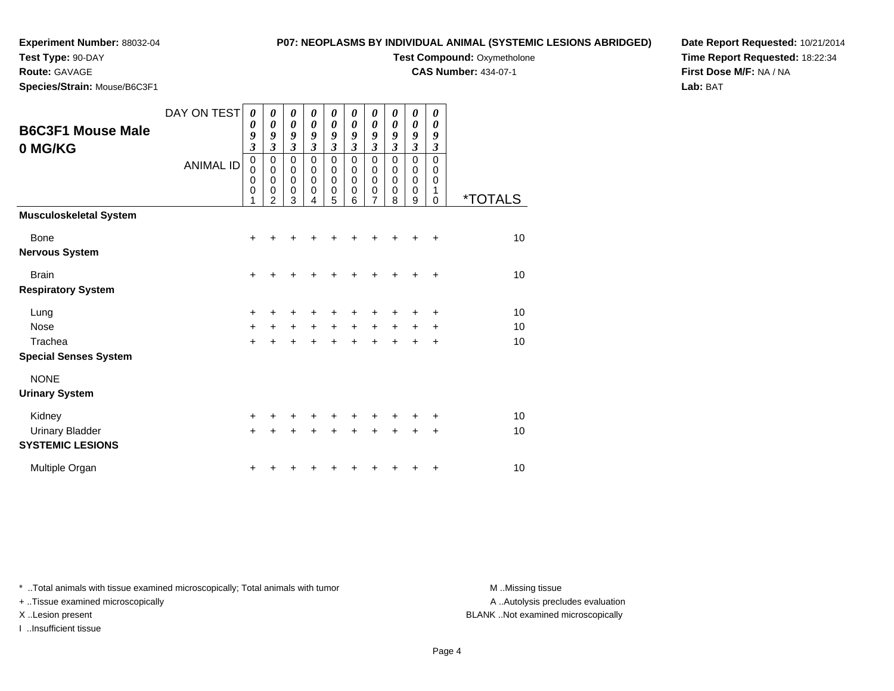**Test Type:** 90-DAY

**Route:** GAVAGE

**Species/Strain:** Mouse/B6C3F1

## **P07: NEOPLASMS BY INDIVIDUAL ANIMAL (SYSTEMIC LESIONS ABRIDGED)**

**Test Compound: Oxymetholone** 

**CAS Number:** 434-07-1

**Date Report Requested:** 10/21/2014**Time Report Requested:** 18:22:34**First Dose M/F:** NA / NA**Lab:** BAT

| <b>B6C3F1 Mouse Male</b><br>0 MG/KG                            | DAY ON TEST<br><b>ANIMAL ID</b> | 0<br>0<br>9<br>$\overline{\mathbf{3}}$<br>$\mathbf 0$<br>0<br>0<br>0 | 0<br>$\boldsymbol{\theta}$<br>9<br>$\overline{\mathbf{3}}$<br>$\mathbf 0$<br>$\mathbf 0$<br>$\pmb{0}$<br>$\mathbf 0$<br>$\overline{2}$ | 0<br>$\boldsymbol{\theta}$<br>9<br>$\mathfrak{z}$<br>$\mathbf 0$<br>$\pmb{0}$<br>$\pmb{0}$<br>$\mathbf 0$<br>3 | 0<br>0<br>9<br>$\boldsymbol{\beta}$<br>$\mathbf 0$<br>0<br>$\pmb{0}$<br>0<br>4 | 0<br>$\boldsymbol{\theta}$<br>9<br>$\mathfrak{z}$<br>$\mathbf 0$<br>0<br>$\mathbf 0$<br>$\mathbf 0$<br>5 | 0<br>0<br>9<br>$\mathfrak{z}$<br>$\mathbf 0$<br>0<br>$\pmb{0}$<br>$\mathbf 0$<br>6 | 0<br>0<br>9<br>$\boldsymbol{\mathfrak{z}}$<br>$\mathbf 0$<br>0<br>$\mathbf 0$<br>$\mathbf 0$<br>$\overline{7}$ | 0<br>$\boldsymbol{\theta}$<br>9<br>3<br>$\mathbf 0$<br>0<br>$\mathbf 0$<br>0<br>8 | 0<br>0<br>9<br>3<br>$\mathbf 0$<br>0<br>0<br>0<br>9 | 0<br>0<br>9<br>$\boldsymbol{\beta}$<br>$\mathbf 0$<br>0<br>$\mathbf 0$<br>1<br>0 | <i><b>*TOTALS</b></i> |
|----------------------------------------------------------------|---------------------------------|----------------------------------------------------------------------|----------------------------------------------------------------------------------------------------------------------------------------|----------------------------------------------------------------------------------------------------------------|--------------------------------------------------------------------------------|----------------------------------------------------------------------------------------------------------|------------------------------------------------------------------------------------|----------------------------------------------------------------------------------------------------------------|-----------------------------------------------------------------------------------|-----------------------------------------------------|----------------------------------------------------------------------------------|-----------------------|
| <b>Musculoskeletal System</b>                                  |                                 |                                                                      |                                                                                                                                        |                                                                                                                |                                                                                |                                                                                                          |                                                                                    |                                                                                                                |                                                                                   |                                                     |                                                                                  |                       |
| Bone<br><b>Nervous System</b>                                  |                                 | $\ddot{}$                                                            |                                                                                                                                        |                                                                                                                |                                                                                |                                                                                                          |                                                                                    |                                                                                                                | +                                                                                 | +                                                   | ÷                                                                                | 10                    |
| <b>Brain</b><br><b>Respiratory System</b>                      |                                 | $\ddot{}$                                                            |                                                                                                                                        |                                                                                                                |                                                                                |                                                                                                          |                                                                                    |                                                                                                                |                                                                                   |                                                     | ÷                                                                                | 10                    |
| Lung<br><b>Nose</b><br>Trachea<br><b>Special Senses System</b> |                                 | +<br>$\ddot{}$<br>$\ddot{}$                                          | $\ddot{}$                                                                                                                              | $\ddot{}$                                                                                                      | $\ddot{}$                                                                      | $\ddot{}$                                                                                                | $\ddot{}$                                                                          | $\ddot{}$<br>÷                                                                                                 | $\ddot{}$                                                                         | +<br>$\pm$<br>+                                     | $\ddot{}$<br>$\ddot{}$<br>$\ddot{}$                                              | 10<br>10<br>10        |
| <b>NONE</b><br><b>Urinary System</b>                           |                                 |                                                                      |                                                                                                                                        |                                                                                                                |                                                                                |                                                                                                          |                                                                                    |                                                                                                                |                                                                                   |                                                     |                                                                                  |                       |
| Kidney<br><b>Urinary Bladder</b><br><b>SYSTEMIC LESIONS</b>    |                                 | +<br>$\ddot{}$                                                       |                                                                                                                                        |                                                                                                                |                                                                                |                                                                                                          |                                                                                    |                                                                                                                | +                                                                                 | +                                                   | ٠<br>$\ddot{}$                                                                   | 10<br>10              |
| Multiple Organ                                                 |                                 | +                                                                    |                                                                                                                                        |                                                                                                                |                                                                                |                                                                                                          |                                                                                    |                                                                                                                |                                                                                   |                                                     | ٠                                                                                | 10                    |

\* ..Total animals with tissue examined microscopically; Total animals with tumor **M** . Missing tissue M ..Missing tissue

+ ..Tissue examined microscopically

I ..Insufficient tissue

A ..Autolysis precludes evaluation

X ..Lesion present BLANK ..Not examined microscopically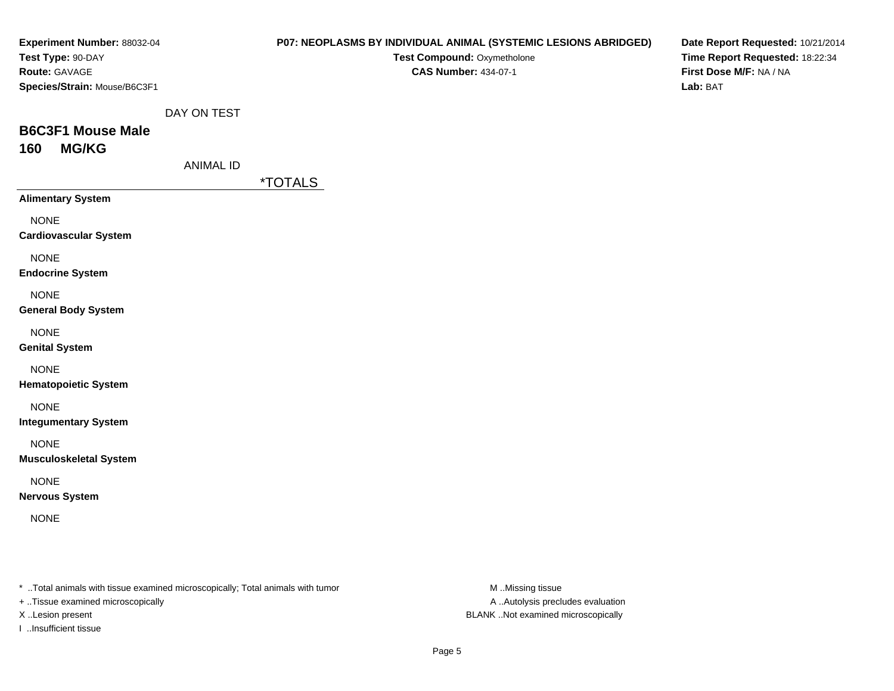| Experiment Number: 88032-04                                                    |                  | P07: NEOPLASMS BY INDIVIDUAL ANIMAL (SYSTEMIC LESIONS ABRIDGED) |                  | Date Report Requested: 10/21/2014 |
|--------------------------------------------------------------------------------|------------------|-----------------------------------------------------------------|------------------|-----------------------------------|
| Test Type: 90-DAY                                                              |                  | Test Compound: Oxymetholone                                     |                  | Time Report Requested: 18:22:34   |
| Route: GAVAGE                                                                  |                  | <b>CAS Number: 434-07-1</b>                                     |                  | First Dose M/F: NA / NA           |
| Species/Strain: Mouse/B6C3F1                                                   |                  |                                                                 |                  | Lab: BAT                          |
|                                                                                | DAY ON TEST      |                                                                 |                  |                                   |
| <b>B6C3F1 Mouse Male</b>                                                       |                  |                                                                 |                  |                                   |
| <b>MG/KG</b><br>160                                                            |                  |                                                                 |                  |                                   |
|                                                                                | <b>ANIMAL ID</b> |                                                                 |                  |                                   |
|                                                                                |                  | <i><b>*TOTALS</b></i>                                           |                  |                                   |
| <b>Alimentary System</b>                                                       |                  |                                                                 |                  |                                   |
| <b>NONE</b>                                                                    |                  |                                                                 |                  |                                   |
| <b>Cardiovascular System</b>                                                   |                  |                                                                 |                  |                                   |
| <b>NONE</b>                                                                    |                  |                                                                 |                  |                                   |
| <b>Endocrine System</b>                                                        |                  |                                                                 |                  |                                   |
| <b>NONE</b>                                                                    |                  |                                                                 |                  |                                   |
| <b>General Body System</b>                                                     |                  |                                                                 |                  |                                   |
| <b>NONE</b>                                                                    |                  |                                                                 |                  |                                   |
| <b>Genital System</b>                                                          |                  |                                                                 |                  |                                   |
|                                                                                |                  |                                                                 |                  |                                   |
| <b>NONE</b>                                                                    |                  |                                                                 |                  |                                   |
| <b>Hematopoietic System</b>                                                    |                  |                                                                 |                  |                                   |
| <b>NONE</b>                                                                    |                  |                                                                 |                  |                                   |
| <b>Integumentary System</b>                                                    |                  |                                                                 |                  |                                   |
| <b>NONE</b>                                                                    |                  |                                                                 |                  |                                   |
| <b>Musculoskeletal System</b>                                                  |                  |                                                                 |                  |                                   |
| <b>NONE</b>                                                                    |                  |                                                                 |                  |                                   |
| <b>Nervous System</b>                                                          |                  |                                                                 |                  |                                   |
| <b>NONE</b>                                                                    |                  |                                                                 |                  |                                   |
|                                                                                |                  |                                                                 |                  |                                   |
|                                                                                |                  |                                                                 |                  |                                   |
|                                                                                |                  |                                                                 |                  |                                   |
| * Total animals with tissue examined microscopically; Total animals with tumor |                  |                                                                 | M Missing tissue |                                   |

+ ..Tissue examined microscopically

I ..Insufficient tissue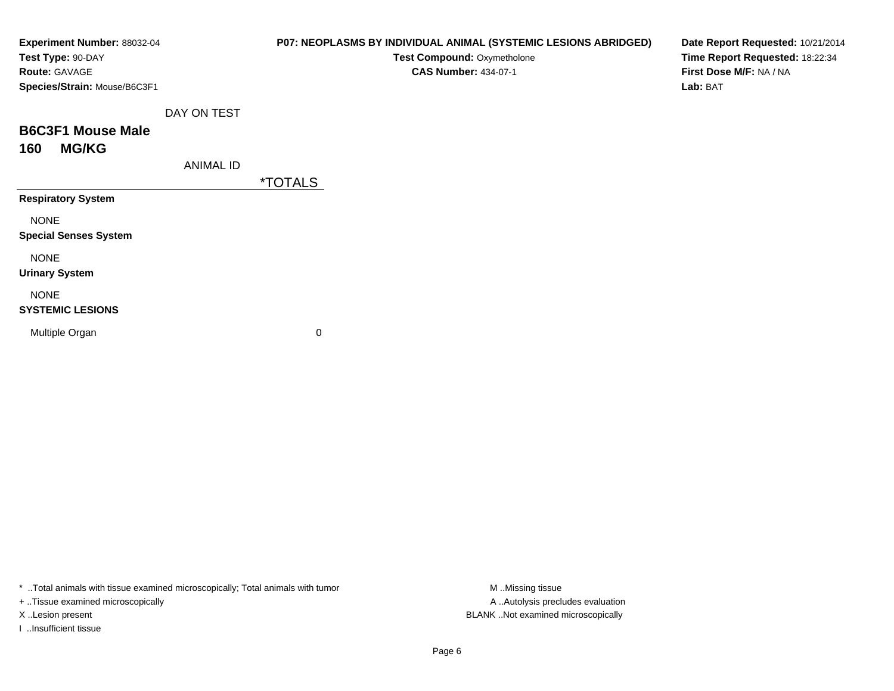| Experiment Number: 88032-04<br>Test Type: 90-DAY |                  | P07: NEOPLASMS BY INDIVIDUAL ANIMAL (SYSTEMIC LESIONS ABRIDGED)<br>Test Compound: Oxymetholone | Date Report Requested: 10/21/2014<br>Time Report Requested: 18:22:34 |
|--------------------------------------------------|------------------|------------------------------------------------------------------------------------------------|----------------------------------------------------------------------|
| <b>Route: GAVAGE</b>                             |                  | <b>CAS Number: 434-07-1</b>                                                                    | First Dose M/F: NA / NA                                              |
| Species/Strain: Mouse/B6C3F1                     |                  |                                                                                                | Lab: BAT                                                             |
|                                                  | DAY ON TEST      |                                                                                                |                                                                      |
| <b>B6C3F1 Mouse Male</b>                         |                  |                                                                                                |                                                                      |
| <b>MG/KG</b><br>160                              |                  |                                                                                                |                                                                      |
|                                                  | <b>ANIMAL ID</b> |                                                                                                |                                                                      |
|                                                  |                  | <i><b>*TOTALS</b></i>                                                                          |                                                                      |
| <b>Respiratory System</b>                        |                  |                                                                                                |                                                                      |
| <b>NONE</b>                                      |                  |                                                                                                |                                                                      |
| <b>Special Senses System</b>                     |                  |                                                                                                |                                                                      |
| <b>NONE</b>                                      |                  |                                                                                                |                                                                      |
| <b>Urinary System</b>                            |                  |                                                                                                |                                                                      |
| <b>NONE</b>                                      |                  |                                                                                                |                                                                      |
| <b>SYSTEMIC LESIONS</b>                          |                  |                                                                                                |                                                                      |
| Multiple Organ                                   |                  | 0                                                                                              |                                                                      |
|                                                  |                  |                                                                                                |                                                                      |
|                                                  |                  |                                                                                                |                                                                      |

\* ..Total animals with tissue examined microscopically; Total animals with tumor M..Missing tissue M ..Missing tissue

+ ..Tissue examined microscopically

I ..Insufficient tissue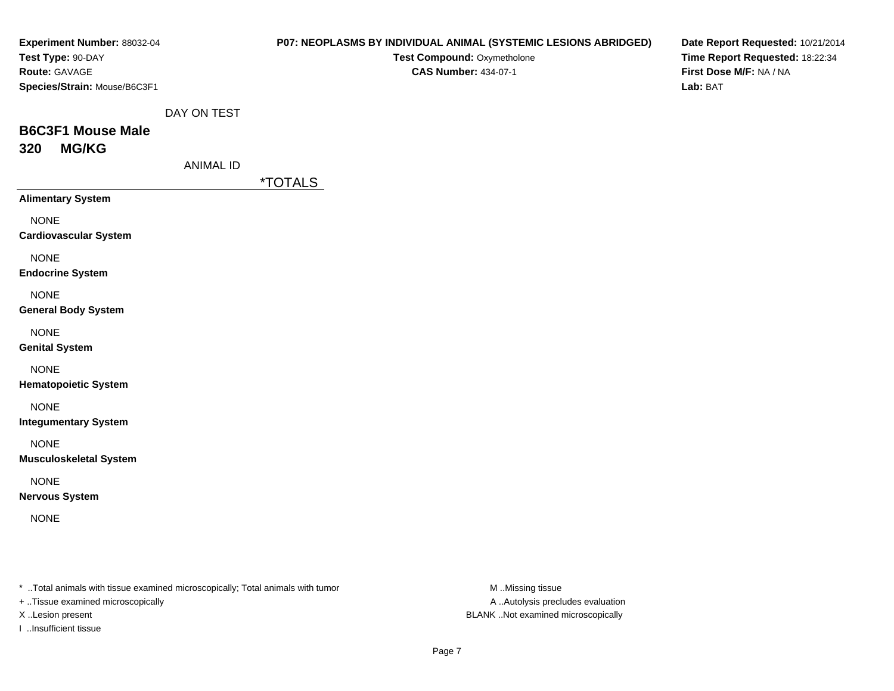| Experiment Number: 88032-04                                                    |                  | P07: NEOPLASMS BY INDIVIDUAL ANIMAL (SYSTEMIC LESIONS ABRIDGED) |                  | Date Report Requested: 10/21/2014   |
|--------------------------------------------------------------------------------|------------------|-----------------------------------------------------------------|------------------|-------------------------------------|
| Test Type: 90-DAY                                                              |                  | Test Compound: Oxymetholone                                     |                  | Time Report Requested: 18:22:34     |
| Route: GAVAGE<br>Species/Strain: Mouse/B6C3F1                                  |                  | <b>CAS Number: 434-07-1</b>                                     |                  | First Dose M/F: NA / NA<br>Lab: BAT |
|                                                                                |                  |                                                                 |                  |                                     |
|                                                                                | DAY ON TEST      |                                                                 |                  |                                     |
| <b>B6C3F1 Mouse Male</b>                                                       |                  |                                                                 |                  |                                     |
| <b>MG/KG</b><br>320                                                            |                  |                                                                 |                  |                                     |
|                                                                                | <b>ANIMAL ID</b> |                                                                 |                  |                                     |
|                                                                                |                  | <i><b>*TOTALS</b></i>                                           |                  |                                     |
| <b>Alimentary System</b>                                                       |                  |                                                                 |                  |                                     |
| <b>NONE</b>                                                                    |                  |                                                                 |                  |                                     |
| <b>Cardiovascular System</b>                                                   |                  |                                                                 |                  |                                     |
| <b>NONE</b>                                                                    |                  |                                                                 |                  |                                     |
| <b>Endocrine System</b>                                                        |                  |                                                                 |                  |                                     |
| <b>NONE</b>                                                                    |                  |                                                                 |                  |                                     |
| <b>General Body System</b>                                                     |                  |                                                                 |                  |                                     |
| <b>NONE</b>                                                                    |                  |                                                                 |                  |                                     |
| <b>Genital System</b>                                                          |                  |                                                                 |                  |                                     |
| <b>NONE</b>                                                                    |                  |                                                                 |                  |                                     |
| <b>Hematopoietic System</b>                                                    |                  |                                                                 |                  |                                     |
| <b>NONE</b>                                                                    |                  |                                                                 |                  |                                     |
| <b>Integumentary System</b>                                                    |                  |                                                                 |                  |                                     |
| <b>NONE</b>                                                                    |                  |                                                                 |                  |                                     |
| <b>Musculoskeletal System</b>                                                  |                  |                                                                 |                  |                                     |
|                                                                                |                  |                                                                 |                  |                                     |
| <b>NONE</b><br><b>Nervous System</b>                                           |                  |                                                                 |                  |                                     |
|                                                                                |                  |                                                                 |                  |                                     |
| <b>NONE</b>                                                                    |                  |                                                                 |                  |                                     |
|                                                                                |                  |                                                                 |                  |                                     |
|                                                                                |                  |                                                                 |                  |                                     |
| * Total animals with tissue examined microscopically; Total animals with tumor |                  |                                                                 | M Missing tissue |                                     |
|                                                                                |                  |                                                                 |                  |                                     |

+ ..Tissue examined microscopically

I ..Insufficient tissue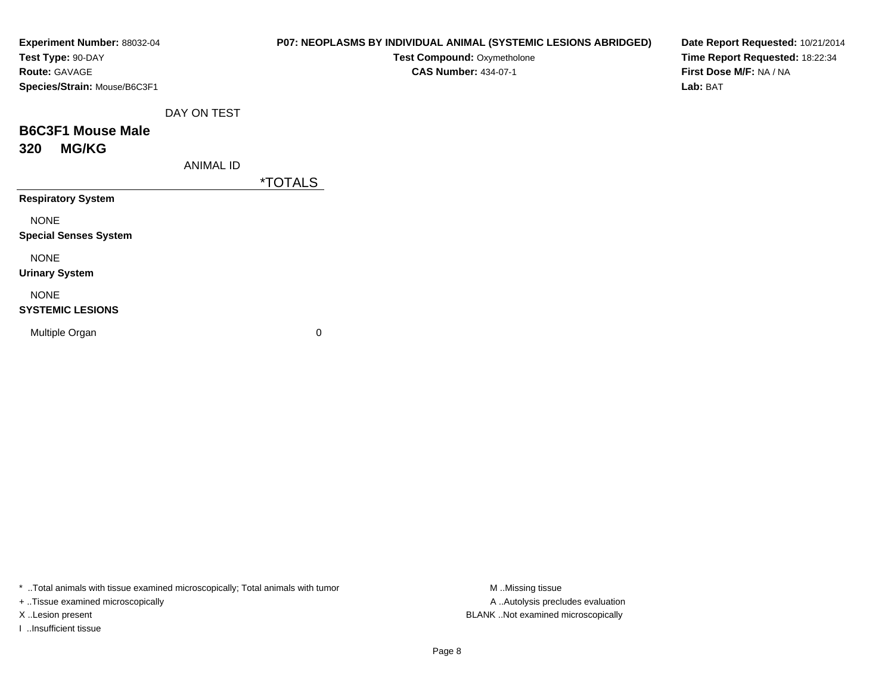| Experiment Number: 88032-04<br>Test Type: 90-DAY |                  | P07: NEOPLASMS BY INDIVIDUAL ANIMAL (SYSTEMIC LESIONS ABRIDGED)<br>Test Compound: Oxymetholone | Date Report Requested: 10/21/2014<br>Time Report Requested: 18:22:34 |
|--------------------------------------------------|------------------|------------------------------------------------------------------------------------------------|----------------------------------------------------------------------|
| Route: GAVAGE                                    |                  | <b>CAS Number: 434-07-1</b>                                                                    | First Dose M/F: NA / NA                                              |
| Species/Strain: Mouse/B6C3F1                     |                  |                                                                                                | Lab: BAT                                                             |
|                                                  | DAY ON TEST      |                                                                                                |                                                                      |
| <b>B6C3F1 Mouse Male</b>                         |                  |                                                                                                |                                                                      |
| <b>MG/KG</b><br>320                              |                  |                                                                                                |                                                                      |
|                                                  | <b>ANIMAL ID</b> |                                                                                                |                                                                      |
|                                                  |                  | <i><b>*TOTALS</b></i>                                                                          |                                                                      |
| <b>Respiratory System</b>                        |                  |                                                                                                |                                                                      |
| <b>NONE</b>                                      |                  |                                                                                                |                                                                      |
| <b>Special Senses System</b>                     |                  |                                                                                                |                                                                      |
| <b>NONE</b>                                      |                  |                                                                                                |                                                                      |
| <b>Urinary System</b>                            |                  |                                                                                                |                                                                      |
| <b>NONE</b>                                      |                  |                                                                                                |                                                                      |
| <b>SYSTEMIC LESIONS</b>                          |                  |                                                                                                |                                                                      |
| Multiple Organ                                   |                  | 0                                                                                              |                                                                      |
|                                                  |                  |                                                                                                |                                                                      |
|                                                  |                  |                                                                                                |                                                                      |

\* ..Total animals with tissue examined microscopically; Total animals with tumor M..Missing tissue M ..Missing tissue

+ ..Tissue examined microscopically

I ..Insufficient tissue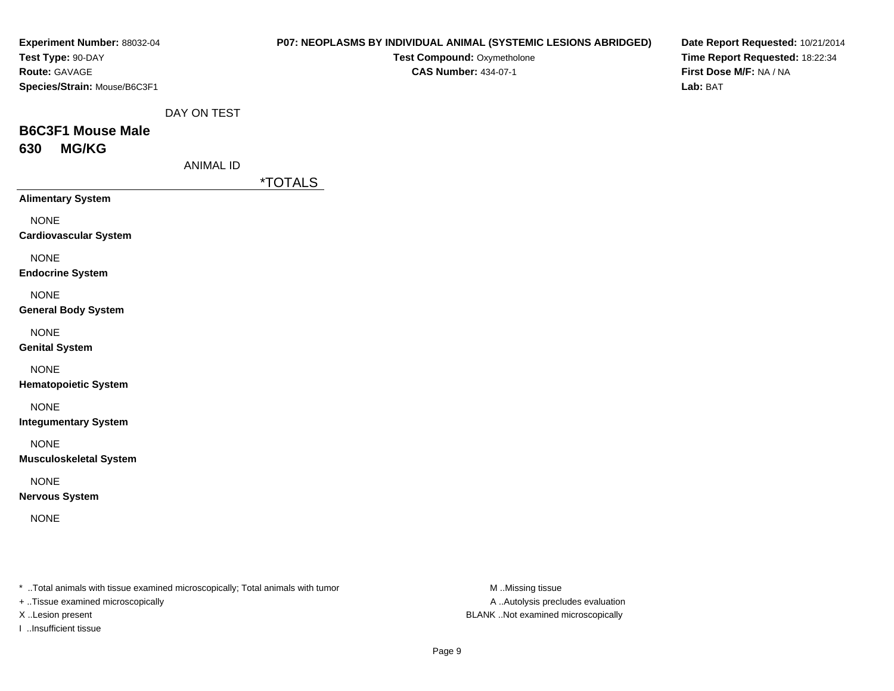| Experiment Number: 88032-04<br>Test Type: 90-DAY                                                                    |                  |                       | P07: NEOPLASMS BY INDIVIDUAL ANIMAL (SYSTEMIC LESIONS ABRIDGED)<br>Test Compound: Oxymetholone | Date Report Requested: 10/21/2014<br>Time Report Requested: 18:22:34 |
|---------------------------------------------------------------------------------------------------------------------|------------------|-----------------------|------------------------------------------------------------------------------------------------|----------------------------------------------------------------------|
| Route: GAVAGE<br>Species/Strain: Mouse/B6C3F1                                                                       |                  |                       | <b>CAS Number: 434-07-1</b>                                                                    | First Dose M/F: NA / NA<br>Lab: BAT                                  |
|                                                                                                                     | DAY ON TEST      |                       |                                                                                                |                                                                      |
| <b>B6C3F1 Mouse Male</b><br><b>MG/KG</b><br>630                                                                     |                  |                       |                                                                                                |                                                                      |
|                                                                                                                     | <b>ANIMAL ID</b> |                       |                                                                                                |                                                                      |
| <b>Alimentary System</b>                                                                                            |                  | <i><b>*TOTALS</b></i> |                                                                                                |                                                                      |
| <b>NONE</b><br><b>Cardiovascular System</b>                                                                         |                  |                       |                                                                                                |                                                                      |
| <b>NONE</b><br><b>Endocrine System</b>                                                                              |                  |                       |                                                                                                |                                                                      |
| <b>NONE</b><br><b>General Body System</b>                                                                           |                  |                       |                                                                                                |                                                                      |
| <b>NONE</b><br><b>Genital System</b>                                                                                |                  |                       |                                                                                                |                                                                      |
| <b>NONE</b><br><b>Hematopoietic System</b>                                                                          |                  |                       |                                                                                                |                                                                      |
| <b>NONE</b><br><b>Integumentary System</b>                                                                          |                  |                       |                                                                                                |                                                                      |
| <b>NONE</b><br><b>Musculoskeletal System</b>                                                                        |                  |                       |                                                                                                |                                                                      |
| <b>NONE</b><br><b>Nervous System</b>                                                                                |                  |                       |                                                                                                |                                                                      |
| <b>NONE</b>                                                                                                         |                  |                       |                                                                                                |                                                                      |
| * Total animals with tissue examined microscopically; Total animals with tumor<br>+ Tissue examined microscopically |                  |                       | M Missing tissue<br>A  Autolysis precludes evaluation                                          |                                                                      |

X ..Lesion present BLANK ..Not examined microscopically

I ..Insufficient tissue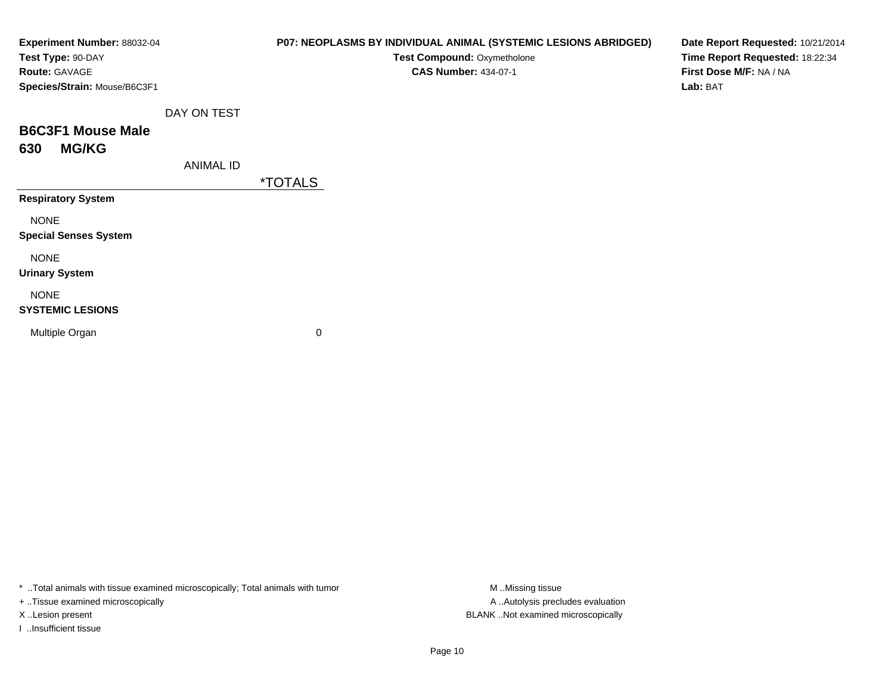| Experiment Number: 88032-04<br>Test Type: 90-DAY<br>Route: GAVAGE<br>Species/Strain: Mouse/B6C3F1 |                  | P07: NEOPLASMS BY INDIVIDUAL ANIMAL (SYSTEMIC LESIONS ABRIDGED)<br>Test Compound: Oxymetholone<br><b>CAS Number: 434-07-1</b> | Date Report Requested: 10/21/2014<br>Time Report Requested: 18:22:34<br>First Dose M/F: NA / NA<br>Lab: BAT |
|---------------------------------------------------------------------------------------------------|------------------|-------------------------------------------------------------------------------------------------------------------------------|-------------------------------------------------------------------------------------------------------------|
|                                                                                                   | DAY ON TEST      |                                                                                                                               |                                                                                                             |
| <b>B6C3F1 Mouse Male</b>                                                                          |                  |                                                                                                                               |                                                                                                             |
| <b>MG/KG</b><br>630                                                                               | <b>ANIMAL ID</b> |                                                                                                                               |                                                                                                             |
| <b>Respiratory System</b>                                                                         |                  | <i><b>*TOTALS</b></i>                                                                                                         |                                                                                                             |
| <b>NONE</b><br><b>Special Senses System</b>                                                       |                  |                                                                                                                               |                                                                                                             |
| <b>NONE</b><br><b>Urinary System</b>                                                              |                  |                                                                                                                               |                                                                                                             |
| <b>NONE</b><br><b>SYSTEMIC LESIONS</b>                                                            |                  |                                                                                                                               |                                                                                                             |
| Multiple Organ                                                                                    |                  | 0                                                                                                                             |                                                                                                             |
|                                                                                                   |                  |                                                                                                                               |                                                                                                             |

\* ..Total animals with tissue examined microscopically; Total animals with tumor M..Missing tissue M ..Missing tissue

+ ..Tissue examined microscopically

I ..Insufficient tissue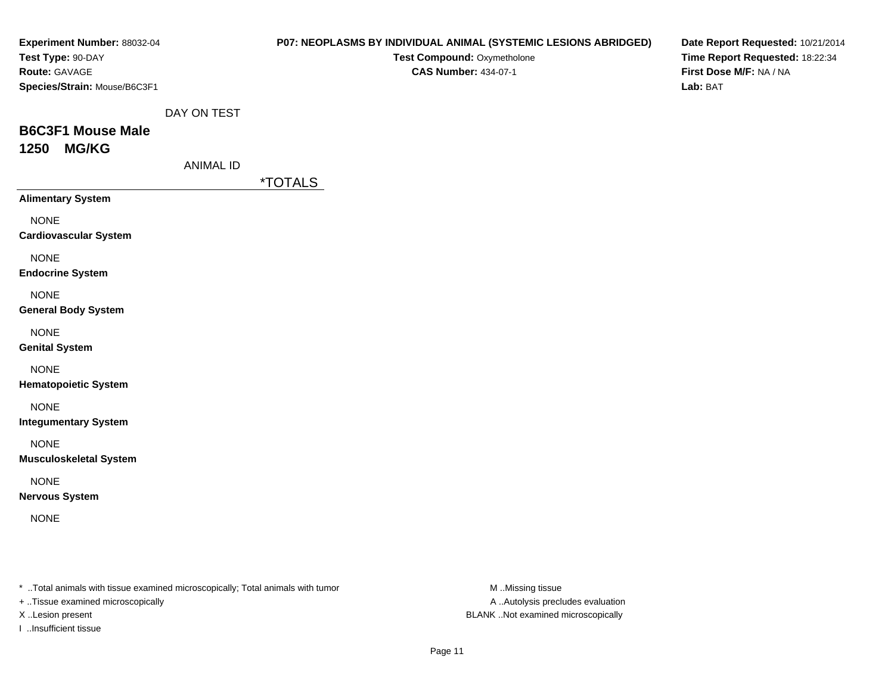| Experiment Number: 88032-04<br>Test Type: 90-DAY<br>Route: GAVAGE                                                   |                  |                       | P07: NEOPLASMS BY INDIVIDUAL ANIMAL (SYSTEMIC LESIONS ABRIDGED)<br>Test Compound: Oxymetholone<br><b>CAS Number: 434-07-1</b> | Date Report Requested: 10/21/2014<br>Time Report Requested: 18:22:34<br>First Dose M/F: NA / NA |
|---------------------------------------------------------------------------------------------------------------------|------------------|-----------------------|-------------------------------------------------------------------------------------------------------------------------------|-------------------------------------------------------------------------------------------------|
| Species/Strain: Mouse/B6C3F1                                                                                        |                  |                       |                                                                                                                               | Lab: BAT                                                                                        |
|                                                                                                                     | DAY ON TEST      |                       |                                                                                                                               |                                                                                                 |
| <b>B6C3F1 Mouse Male</b><br><b>MG/KG</b><br>1250                                                                    |                  |                       |                                                                                                                               |                                                                                                 |
|                                                                                                                     | <b>ANIMAL ID</b> |                       |                                                                                                                               |                                                                                                 |
| <b>Alimentary System</b>                                                                                            |                  | <i><b>*TOTALS</b></i> |                                                                                                                               |                                                                                                 |
| <b>NONE</b><br><b>Cardiovascular System</b>                                                                         |                  |                       |                                                                                                                               |                                                                                                 |
| <b>NONE</b><br><b>Endocrine System</b>                                                                              |                  |                       |                                                                                                                               |                                                                                                 |
| <b>NONE</b><br><b>General Body System</b>                                                                           |                  |                       |                                                                                                                               |                                                                                                 |
| <b>NONE</b><br><b>Genital System</b>                                                                                |                  |                       |                                                                                                                               |                                                                                                 |
| <b>NONE</b><br><b>Hematopoietic System</b>                                                                          |                  |                       |                                                                                                                               |                                                                                                 |
| <b>NONE</b><br><b>Integumentary System</b>                                                                          |                  |                       |                                                                                                                               |                                                                                                 |
| <b>NONE</b><br><b>Musculoskeletal System</b>                                                                        |                  |                       |                                                                                                                               |                                                                                                 |
| <b>NONE</b><br><b>Nervous System</b>                                                                                |                  |                       |                                                                                                                               |                                                                                                 |
| <b>NONE</b>                                                                                                         |                  |                       |                                                                                                                               |                                                                                                 |
| * Total animals with tissue examined microscopically; Total animals with tumor<br>+ Tissue examined microscopically |                  |                       | M Missing tissue<br>A  Autolysis precludes evaluation                                                                         |                                                                                                 |

I ..Insufficient tissue

X ..Lesion present BLANK ..Not examined microscopically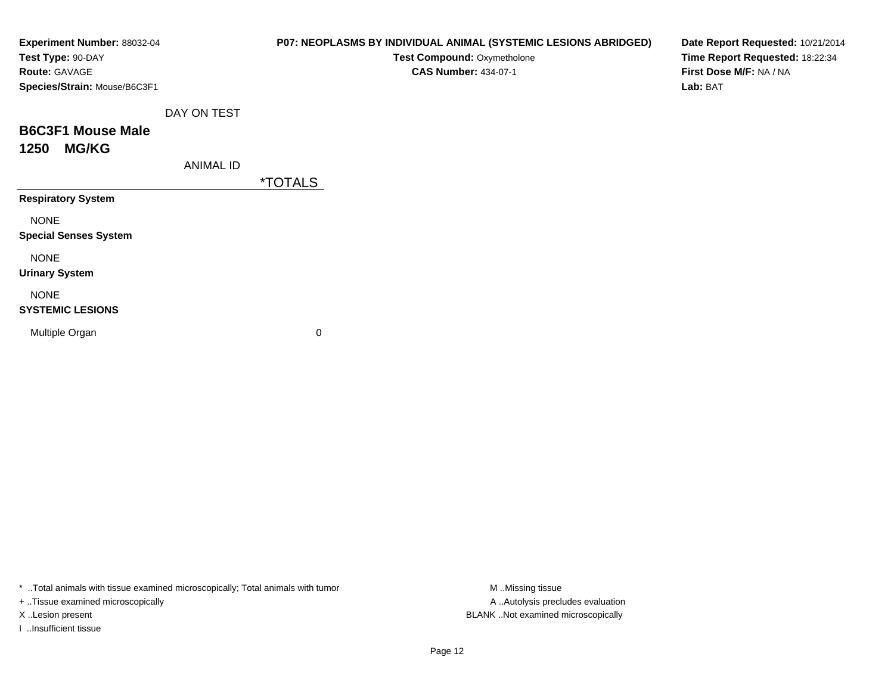| Experiment Number: 88032-04<br>Test Type: 90-DAY<br>Route: GAVAGE<br>Species/Strain: Mouse/B6C3F1 |                  | P07: NEOPLASMS BY INDIVIDUAL ANIMAL (SYSTEMIC LESIONS ABRIDGED)<br>Test Compound: Oxymetholone<br><b>CAS Number: 434-07-1</b> | Date Report Requested: 10/21/2014<br>Time Report Requested: 18:22:34<br>First Dose M/F: NA / NA<br>Lab: BAT |
|---------------------------------------------------------------------------------------------------|------------------|-------------------------------------------------------------------------------------------------------------------------------|-------------------------------------------------------------------------------------------------------------|
|                                                                                                   | DAY ON TEST      |                                                                                                                               |                                                                                                             |
| <b>B6C3F1 Mouse Male</b><br><b>MG/KG</b><br>1250                                                  |                  |                                                                                                                               |                                                                                                             |
|                                                                                                   | <b>ANIMAL ID</b> |                                                                                                                               |                                                                                                             |
|                                                                                                   |                  | <i><b>*TOTALS</b></i>                                                                                                         |                                                                                                             |
| <b>Respiratory System</b>                                                                         |                  |                                                                                                                               |                                                                                                             |
| <b>NONE</b><br><b>Special Senses System</b>                                                       |                  |                                                                                                                               |                                                                                                             |
| <b>NONE</b><br><b>Urinary System</b>                                                              |                  |                                                                                                                               |                                                                                                             |
| <b>NONE</b><br><b>SYSTEMIC LESIONS</b>                                                            |                  |                                                                                                                               |                                                                                                             |
| Multiple Organ                                                                                    |                  | 0                                                                                                                             |                                                                                                             |

\* ..Total animals with tissue examined microscopically; Total animals with tumor M..Missing tissue M ..Missing tissue

+ ..Tissue examined microscopically

I ..Insufficient tissue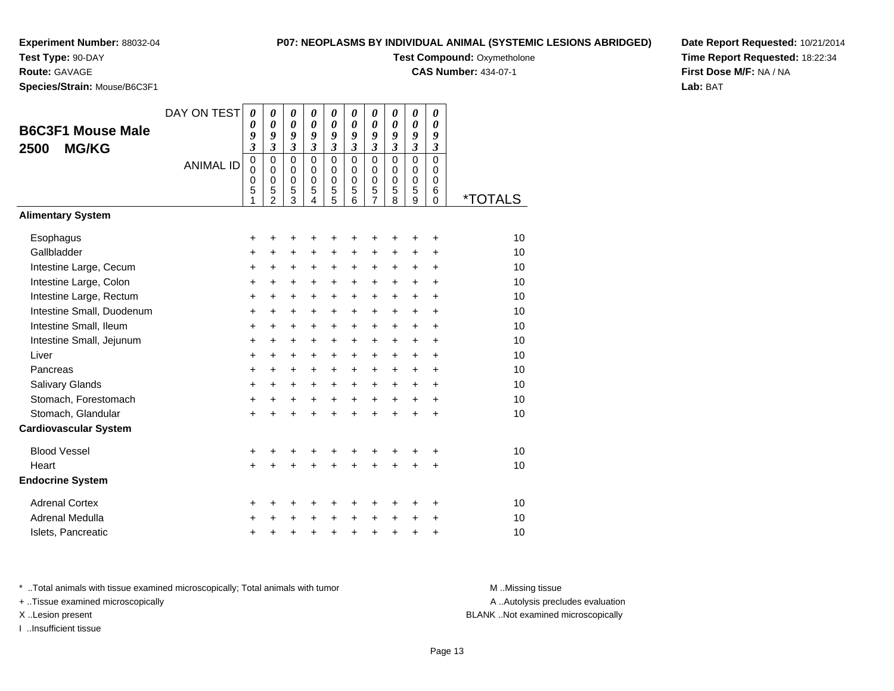## **Experiment Number:** 88032-04**Test Type:** 90-DAY

# **P07: NEOPLASMS BY INDIVIDUAL ANIMAL (SYSTEMIC LESIONS ABRIDGED)**

**Test Compound: Oxymetholone** 

**CAS Number:** 434-07-1

**Date Report Requested:** 10/21/2014**Time Report Requested:** 18:22:34**First Dose M/F:** NA / NA**Lab:** BAT

**Route:** GAVAGE**Species/Strain:** Mouse/B6C3F1

|                              | DAY ON TEST      | $\boldsymbol{\theta}$      | $\boldsymbol{\theta}$<br>$\boldsymbol{\theta}$ | $\boldsymbol{\theta}$      | 0                            | $\pmb{\theta}$          | 0                | 0                          | 0                          | 0                             | 0                             |                       |
|------------------------------|------------------|----------------------------|------------------------------------------------|----------------------------|------------------------------|-------------------------|------------------|----------------------------|----------------------------|-------------------------------|-------------------------------|-----------------------|
| <b>B6C3F1 Mouse Male</b>     |                  | 0<br>9                     | 9                                              | $\boldsymbol{\theta}$<br>9 | $\boldsymbol{\theta}$<br>9   | 0<br>9                  | 0<br>9           | 0<br>9                     | 0<br>9                     | 0<br>9                        | 0<br>9                        |                       |
| <b>MG/KG</b><br>2500         |                  | 3                          | $\mathfrak{z}$                                 | $\mathfrak{z}$             | $\mathfrak{z}$               | $\overline{\mathbf{3}}$ | $\mathfrak{z}$   | $\mathfrak{z}$             | $\mathfrak{z}$             | $\mathfrak{z}$                | $\mathfrak{z}$                |                       |
|                              | <b>ANIMAL ID</b> | $\mathbf 0$<br>$\mathbf 0$ | $\mathbf 0$<br>$\mathbf 0$                     | $\mathbf 0$<br>$\mathbf 0$ | $\mathbf 0$<br>$\mathbf 0$   | $\mathbf 0$<br>0        | 0<br>$\mathbf 0$ | $\mathbf 0$<br>$\mathbf 0$ | $\mathbf 0$<br>$\mathbf 0$ | $\overline{0}$<br>$\mathbf 0$ | $\overline{0}$<br>$\mathbf 0$ |                       |
|                              |                  | 0                          | $\mathbf 0$                                    | $\mathbf 0$                | $\mathbf 0$                  | $\mathbf 0$             | $\mathbf 0$      | $\mathbf 0$                | $\mathbf 0$                | $\mathbf 0$                   | 0                             |                       |
|                              |                  | 5<br>1                     | 5<br>$\mathfrak{p}$                            | 5<br>$\overline{3}$        | 5<br>$\overline{\mathbf{4}}$ | 5<br>$\overline{5}$     | 5<br>6           | 5<br>$\overline{7}$        | 5<br>8                     | $\frac{5}{9}$                 | 6<br>$\Omega$                 | <i><b>*TOTALS</b></i> |
| <b>Alimentary System</b>     |                  |                            |                                                |                            |                              |                         |                  |                            |                            |                               |                               |                       |
| Esophagus                    |                  | +                          | +                                              | +                          | +                            | +                       | +                | +                          | ٠                          | ٠                             | ٠                             | 10                    |
| Gallbladder                  |                  | +                          | +                                              | $\ddot{}$                  | $\ddot{}$                    | +                       | $\ddot{}$        | +                          | $\ddot{}$                  | +                             | $\ddot{}$                     | 10                    |
| Intestine Large, Cecum       |                  | +                          | +                                              | $\ddot{}$                  | +                            | +                       | +                | +                          | +                          | +                             | $\ddot{}$                     | 10                    |
| Intestine Large, Colon       |                  | $\ddot{}$                  | +                                              | $\ddot{}$                  | $\ddot{}$                    | +                       | +                | +                          | +                          | +                             | $\ddot{}$                     | 10                    |
| Intestine Large, Rectum      |                  | $\ddot{}$                  | $\ddot{}$                                      | $\ddot{}$                  | $\ddot{}$                    | $\ddot{}$               | +                | $\ddot{}$                  | $\ddot{}$                  | $\ddot{}$                     | $\ddot{}$                     | 10                    |
| Intestine Small, Duodenum    |                  | +                          | +                                              | $\ddot{}$                  | +                            | +                       | +                | +                          | +                          | +                             | +                             | 10                    |
| Intestine Small, Ileum       |                  | $\ddot{}$                  | $\ddot{}$                                      | $\ddot{}$                  | $\ddot{}$                    | $\ddot{}$               | +                | $\ddot{}$                  | $\ddot{}$                  | $\ddot{}$                     | $\ddot{}$                     | 10                    |
| Intestine Small, Jejunum     |                  | +                          | $\ddot{}$                                      | $\ddot{}$                  | $\ddot{}$                    | +                       | +                | +                          | $\ddot{}$                  | $\ddot{}$                     | +                             | 10                    |
| Liver                        |                  | $\ddot{}$                  | $\ddot{}$                                      | $\ddot{}$                  | $\ddot{}$                    | $\ddot{}$               | $\ddot{}$        | $\ddot{}$                  | $\ddot{}$                  | $+$                           | $\ddot{}$                     | 10                    |
| Pancreas                     |                  | +                          | $\ddot{}$                                      | $\ddot{}$                  | $\ddot{}$                    | $\ddot{}$               | +                | $\ddot{}$                  | $\ddot{}$                  | $\ddot{}$                     | $\ddot{}$                     | 10                    |
| <b>Salivary Glands</b>       |                  | +                          | $\ddot{}$                                      | $\ddot{}$                  | $\ddot{}$                    | $\ddot{}$               | $\ddot{}$        | $\ddot{}$                  | $\ddot{}$                  | $\ddot{}$                     | $\ddot{}$                     | 10                    |
| Stomach, Forestomach         |                  | +                          | +                                              | +                          | $\ddot{}$                    | +                       | +                | +                          | $\ddot{}$                  | +                             | $\ddot{}$                     | 10                    |
| Stomach, Glandular           |                  | $\ddot{}$                  | +                                              | $\ddot{}$                  | $\ddot{}$                    | $\ddot{}$               | $\ddot{}$        | $\ddot{}$                  | $\ddot{}$                  | $\ddot{}$                     | $\ddot{}$                     | 10                    |
| <b>Cardiovascular System</b> |                  |                            |                                                |                            |                              |                         |                  |                            |                            |                               |                               |                       |
| <b>Blood Vessel</b>          |                  | +                          |                                                |                            |                              | +                       |                  | +                          |                            |                               | +                             | 10                    |
| Heart                        |                  | $\ddot{}$                  |                                                |                            |                              | $\ddot{}$               | $\ddot{}$        | $\ddot{}$                  | $\ddot{}$                  | $\ddot{}$                     | $\ddot{}$                     | 10                    |
| <b>Endocrine System</b>      |                  |                            |                                                |                            |                              |                         |                  |                            |                            |                               |                               |                       |
| <b>Adrenal Cortex</b>        |                  | +                          | +                                              | +                          | +                            | +                       | +                | +                          | +                          | ٠                             | ٠                             | 10                    |
| Adrenal Medulla              |                  | +                          | +                                              | +                          | +                            | +                       | +                | +                          | +                          | +                             | +                             | 10                    |
| Islets, Pancreatic           |                  | +                          | +                                              | +                          | $\ddot{}$                    | +                       | $\ddot{}$        | +                          | +                          | +                             | +                             | 10                    |

\* ..Total animals with tissue examined microscopically; Total animals with tumor **M** . Missing tissue M ..Missing tissue

+ ..Tissue examined microscopically

I ..Insufficient tissue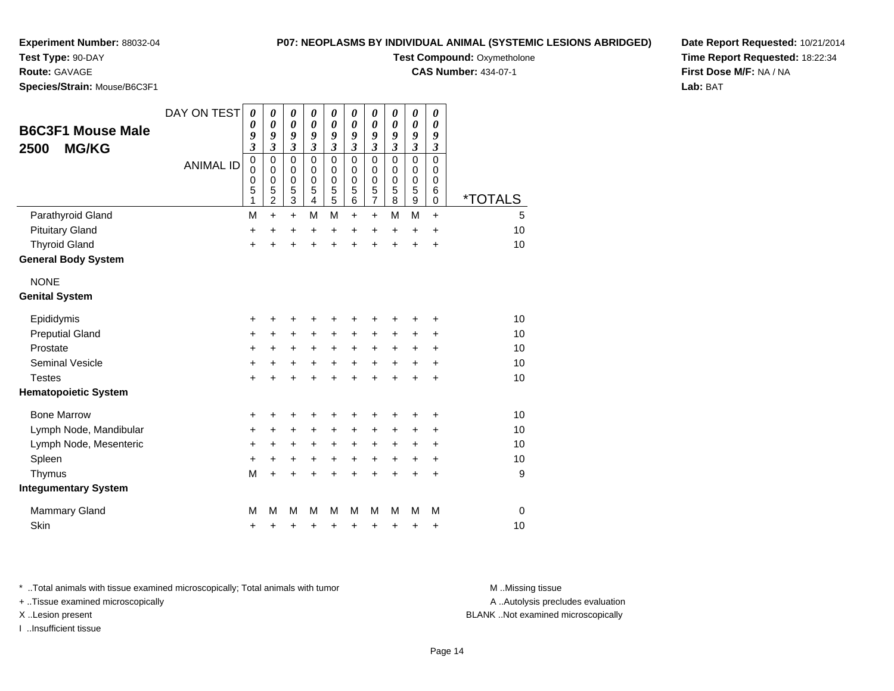### **P07: NEOPLASMS BY INDIVIDUAL ANIMAL (SYSTEMIC LESIONS ABRIDGED)**

**Test Compound: Oxymetholone CAS Number:** 434-07-1

**Experiment Number:** 88032-04

**Test Type:** 90-DAY

**Route:** GAVAGE

**Species/Strain:** Mouse/B6C3F1

| <b>B6C3F1 Mouse Male</b>    | DAY ON TEST      | 0<br>0<br>9                                                | 0<br>0<br>9                                                                            | 0<br>$\boldsymbol{\theta}$<br>9                      | 0<br>0<br>9                                                | 0<br>0<br>9                                                    | 0<br>0<br>9                                                        | 0<br>0<br>9                                    | 0<br>0<br>9                                      | 0<br>$\boldsymbol{\theta}$<br>9                             | 0<br>$\boldsymbol{\theta}$<br>9                          |                       |
|-----------------------------|------------------|------------------------------------------------------------|----------------------------------------------------------------------------------------|------------------------------------------------------|------------------------------------------------------------|----------------------------------------------------------------|--------------------------------------------------------------------|------------------------------------------------|--------------------------------------------------|-------------------------------------------------------------|----------------------------------------------------------|-----------------------|
| <b>MG/KG</b><br>2500        | <b>ANIMAL ID</b> | $\overline{\mathbf{3}}$<br>$\mathbf 0$<br>0<br>0<br>5<br>1 | $\boldsymbol{\beta}$<br>$\mathbf 0$<br>$\mathbf 0$<br>$\pmb{0}$<br>5<br>$\overline{c}$ | $\boldsymbol{\beta}$<br>$\Omega$<br>0<br>0<br>5<br>3 | $\overline{\mathbf{3}}$<br>$\mathbf 0$<br>0<br>0<br>5<br>4 | $\mathfrak{z}$<br>$\overline{0}$<br>0<br>$\mathbf 0$<br>5<br>5 | $\overline{\mathbf{3}}$<br>$\mathbf 0$<br>0<br>$\pmb{0}$<br>5<br>6 | 3<br>$\mathbf 0$<br>0<br>$\mathbf 0$<br>5<br>7 | $\overline{\mathbf{3}}$<br>0<br>0<br>0<br>5<br>8 | $\mathfrak{z}$<br>$\mathbf 0$<br>0<br>$\mathbf 0$<br>5<br>9 | 3<br>$\mathbf 0$<br>$\mathbf 0$<br>$\mathbf 0$<br>6<br>0 | <i><b>*TOTALS</b></i> |
| Parathyroid Gland           |                  | M                                                          | $\ddot{}$                                                                              | $\ddot{}$                                            | M                                                          | M                                                              | $\ddot{}$                                                          | $\ddot{}$                                      | M                                                | M                                                           | $\ddot{}$                                                | 5                     |
| <b>Pituitary Gland</b>      |                  | $\ddot{}$                                                  | +                                                                                      | +                                                    | +                                                          | +                                                              | +                                                                  | +                                              | +                                                | +                                                           | +                                                        | 10                    |
| <b>Thyroid Gland</b>        |                  | $\ddot{}$                                                  | +                                                                                      |                                                      | $\ddot{}$                                                  | Ŧ.                                                             | +                                                                  | +                                              | $\ddot{}$                                        | +                                                           | $\ddot{}$                                                | 10                    |
| <b>General Body System</b>  |                  |                                                            |                                                                                        |                                                      |                                                            |                                                                |                                                                    |                                                |                                                  |                                                             |                                                          |                       |
| <b>NONE</b>                 |                  |                                                            |                                                                                        |                                                      |                                                            |                                                                |                                                                    |                                                |                                                  |                                                             |                                                          |                       |
| <b>Genital System</b>       |                  |                                                            |                                                                                        |                                                      |                                                            |                                                                |                                                                    |                                                |                                                  |                                                             |                                                          |                       |
| Epididymis                  |                  | +                                                          | +                                                                                      |                                                      | +                                                          | +                                                              | +                                                                  |                                                | +                                                |                                                             | ٠                                                        | 10                    |
| <b>Preputial Gland</b>      |                  | $\ddot{}$                                                  | $\ddot{}$                                                                              | $\ddot{}$                                            | +                                                          | +                                                              | +                                                                  | $\ddot{}$                                      | $\ddot{}$                                        | $\ddot{}$                                                   | +                                                        | 10                    |
| Prostate                    |                  | +                                                          | $\ddot{}$                                                                              | $\ddot{}$                                            | +                                                          | +                                                              | $\ddot{}$                                                          | $\ddot{}$                                      | $\ddot{}$                                        | $\ddot{}$                                                   | +                                                        | 10                    |
| <b>Seminal Vesicle</b>      |                  | +                                                          | $\ddot{}$                                                                              | +                                                    | +                                                          | +                                                              | $\ddot{}$                                                          | +                                              | +                                                | +                                                           | +                                                        | 10                    |
| <b>Testes</b>               |                  | $\ddot{}$                                                  | $\ddot{}$                                                                              |                                                      | $\ddot{}$                                                  | ÷                                                              | $\ddot{}$                                                          | ÷                                              | $\ddot{}$                                        | ÷                                                           | $\ddot{}$                                                | 10                    |
| <b>Hematopoietic System</b> |                  |                                                            |                                                                                        |                                                      |                                                            |                                                                |                                                                    |                                                |                                                  |                                                             |                                                          |                       |
| <b>Bone Marrow</b>          |                  | +                                                          | +                                                                                      | +                                                    | +                                                          | +                                                              | +                                                                  | +                                              | +                                                | +                                                           | +                                                        | 10                    |
| Lymph Node, Mandibular      |                  | +                                                          | +                                                                                      | +                                                    | +                                                          | +                                                              | +                                                                  | $\pm$                                          | $\pm$                                            | $\ddot{}$                                                   | +                                                        | 10                    |
| Lymph Node, Mesenteric      |                  | +                                                          | $\ddot{}$                                                                              | +                                                    | +                                                          | +                                                              | +                                                                  | +                                              | +                                                | +                                                           | +                                                        | 10                    |
| Spleen                      |                  | $\ddot{}$                                                  | $\ddot{}$                                                                              | $\ddot{}$                                            | $\ddot{}$                                                  | $\ddot{}$                                                      | $\ddot{}$                                                          | $+$                                            | $\ddot{}$                                        | $\ddot{}$                                                   | $\ddot{}$                                                | 10                    |
| Thymus                      |                  | M                                                          | $\ddot{}$                                                                              | +                                                    | +                                                          | $\ddot{}$                                                      | $\ddot{}$                                                          | +                                              | +                                                | $\ddot{}$                                                   | $\pm$                                                    | 9                     |
| <b>Integumentary System</b> |                  |                                                            |                                                                                        |                                                      |                                                            |                                                                |                                                                    |                                                |                                                  |                                                             |                                                          |                       |
| <b>Mammary Gland</b>        |                  | М                                                          | M                                                                                      | м                                                    | M                                                          | М                                                              | M                                                                  | м                                              | М                                                | М                                                           | M                                                        | $\mathbf 0$           |
| Skin                        |                  | +                                                          | +                                                                                      | +                                                    | +                                                          | +                                                              | +                                                                  | +                                              | +                                                | +                                                           | +                                                        | 10                    |
|                             |                  |                                                            |                                                                                        |                                                      |                                                            |                                                                |                                                                    |                                                |                                                  |                                                             |                                                          |                       |

\* ..Total animals with tissue examined microscopically; Total animals with tumor **M** . Missing tissue M ..Missing tissue

+ ..Tissue examined microscopically

I ..Insufficient tissue

A ..Autolysis precludes evaluation

X ..Lesion present BLANK ..Not examined microscopically

**Date Report Requested:** 10/21/2014**Time Report Requested:** 18:22:34**First Dose M/F:** NA / NA**Lab:** BAT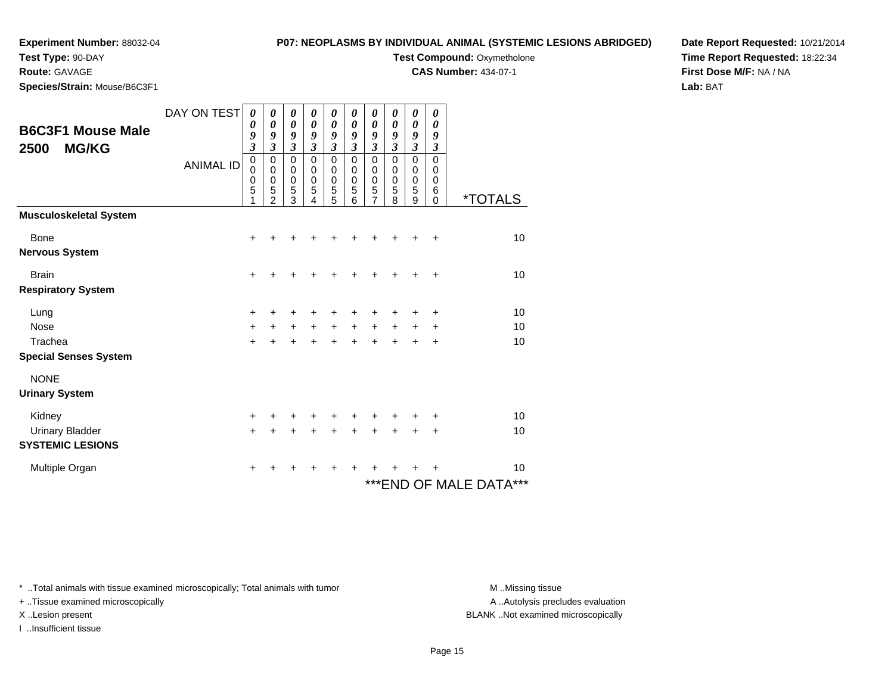## **Test Type:** 90-DAY

#### **Route:** GAVAGE

**Species/Strain:** Mouse/B6C3F1

## **P07: NEOPLASMS BY INDIVIDUAL ANIMAL (SYSTEMIC LESIONS ABRIDGED)**

# **Test Compound: Oxymetholone**

**CAS Number:** 434-07-1

**Date Report Requested:** 10/21/2014**Time Report Requested:** 18:22:34**First Dose M/F:** NA / NA**Lab:** BAT

| <b>B6C3F1 Mouse Male</b><br>2500<br><b>MG/KG</b> | DAY ON TEST<br><b>ANIMAL ID</b> | 0<br>0<br>9<br>$\overline{\mathbf{3}}$<br>$\mathbf 0$<br>$\mathbf 0$<br>$\mathbf 0$<br>5<br>1 | 0<br>$\boldsymbol{\theta}$<br>9<br>$\mathfrak{z}$<br>$\mathbf 0$<br>0<br>$\pmb{0}$<br>5<br>$\mathfrak{p}$ | 0<br>$\boldsymbol{\theta}$<br>9<br>$\mathfrak{z}$<br>0<br>0<br>$\pmb{0}$<br>5<br>3 | 0<br>$\boldsymbol{\theta}$<br>9<br>3<br>$\mathbf 0$<br>0<br>$\mathbf 0$<br>5<br>4 | 0<br>$\boldsymbol{\theta}$<br>9<br>$\mathfrak{z}$<br>$\mathbf 0$<br>0<br>$\boldsymbol{0}$<br>5<br>5 | 0<br>$\boldsymbol{\theta}$<br>9<br>$\overline{\mathbf{3}}$<br>0<br>0<br>0<br>5<br>6 | 0<br>0<br>9<br>$\overline{\mathbf{3}}$<br>0<br>0<br>0<br>5<br>7 | 0<br>$\boldsymbol{\theta}$<br>9<br>$\mathfrak{z}$<br>$\mathbf 0$<br>$\mathbf 0$<br>$\mathbf 0$<br>5<br>8 | 0<br>$\boldsymbol{\theta}$<br>9<br>$\mathfrak{z}$<br>$\mathbf 0$<br>0<br>$\mathbf 0$<br>5<br>9 | 0<br>0<br>9<br>$\boldsymbol{\beta}$<br>$\mathbf 0$<br>0<br>0<br>6<br>0 | <i><b>*TOTALS</b></i>        |
|--------------------------------------------------|---------------------------------|-----------------------------------------------------------------------------------------------|-----------------------------------------------------------------------------------------------------------|------------------------------------------------------------------------------------|-----------------------------------------------------------------------------------|-----------------------------------------------------------------------------------------------------|-------------------------------------------------------------------------------------|-----------------------------------------------------------------|----------------------------------------------------------------------------------------------------------|------------------------------------------------------------------------------------------------|------------------------------------------------------------------------|------------------------------|
| <b>Musculoskeletal System</b>                    |                                 |                                                                                               |                                                                                                           |                                                                                    |                                                                                   |                                                                                                     |                                                                                     |                                                                 |                                                                                                          |                                                                                                |                                                                        |                              |
| <b>Bone</b>                                      |                                 | $\ddot{}$                                                                                     | +                                                                                                         | +                                                                                  |                                                                                   |                                                                                                     |                                                                                     |                                                                 |                                                                                                          |                                                                                                | +                                                                      | 10                           |
| <b>Nervous System</b>                            |                                 |                                                                                               |                                                                                                           |                                                                                    |                                                                                   |                                                                                                     |                                                                                     |                                                                 |                                                                                                          |                                                                                                |                                                                        |                              |
| <b>Brain</b>                                     |                                 | $\ddot{}$                                                                                     |                                                                                                           | +                                                                                  |                                                                                   |                                                                                                     |                                                                                     |                                                                 |                                                                                                          |                                                                                                |                                                                        | 10                           |
| <b>Respiratory System</b>                        |                                 |                                                                                               |                                                                                                           |                                                                                    |                                                                                   |                                                                                                     |                                                                                     |                                                                 |                                                                                                          |                                                                                                |                                                                        |                              |
| Lung                                             |                                 | +                                                                                             | +                                                                                                         | ٠                                                                                  |                                                                                   |                                                                                                     |                                                                                     | ٠                                                               |                                                                                                          |                                                                                                | ÷                                                                      | 10                           |
| Nose                                             |                                 | $\ddot{}$                                                                                     | $\ddot{}$                                                                                                 | $\ddot{}$                                                                          | $\ddot{}$                                                                         | $\ddot{}$                                                                                           | $\ddot{}$                                                                           | $\ddot{}$                                                       | $\ddot{}$                                                                                                | +                                                                                              | +                                                                      | 10                           |
| Trachea                                          |                                 | $+$                                                                                           | $\ddot{}$                                                                                                 | $\ddot{}$                                                                          | $\ddot{}$                                                                         | $+$                                                                                                 | $\ddot{}$                                                                           | $\ddot{}$                                                       | $\ddot{}$                                                                                                | $\div$                                                                                         | $\ddot{}$                                                              | 10                           |
| <b>Special Senses System</b>                     |                                 |                                                                                               |                                                                                                           |                                                                                    |                                                                                   |                                                                                                     |                                                                                     |                                                                 |                                                                                                          |                                                                                                |                                                                        |                              |
| <b>NONE</b><br><b>Urinary System</b>             |                                 |                                                                                               |                                                                                                           |                                                                                    |                                                                                   |                                                                                                     |                                                                                     |                                                                 |                                                                                                          |                                                                                                |                                                                        |                              |
| Kidney                                           |                                 | +                                                                                             |                                                                                                           | +                                                                                  | +                                                                                 | +                                                                                                   | +                                                                                   | +                                                               |                                                                                                          |                                                                                                | +                                                                      | 10                           |
| <b>Urinary Bladder</b>                           |                                 | $\ddot{}$                                                                                     | +                                                                                                         | +                                                                                  | +                                                                                 | +                                                                                                   | +                                                                                   | +                                                               |                                                                                                          |                                                                                                | ٠                                                                      | 10                           |
| <b>SYSTEMIC LESIONS</b>                          |                                 |                                                                                               |                                                                                                           |                                                                                    |                                                                                   |                                                                                                     |                                                                                     |                                                                 |                                                                                                          |                                                                                                |                                                                        |                              |
| Multiple Organ                                   |                                 | $\ddot{}$                                                                                     | +                                                                                                         | ٠                                                                                  | ٠                                                                                 | ٠                                                                                                   | ٠                                                                                   | +                                                               |                                                                                                          |                                                                                                |                                                                        | 10                           |
|                                                  |                                 |                                                                                               |                                                                                                           |                                                                                    |                                                                                   |                                                                                                     |                                                                                     |                                                                 |                                                                                                          |                                                                                                |                                                                        | *** END OF MALE DATA®<br>*** |

\* ..Total animals with tissue examined microscopically; Total animals with tumor **M** . Missing tissue M ..Missing tissue

+ ..Tissue examined microscopically

I ..Insufficient tissue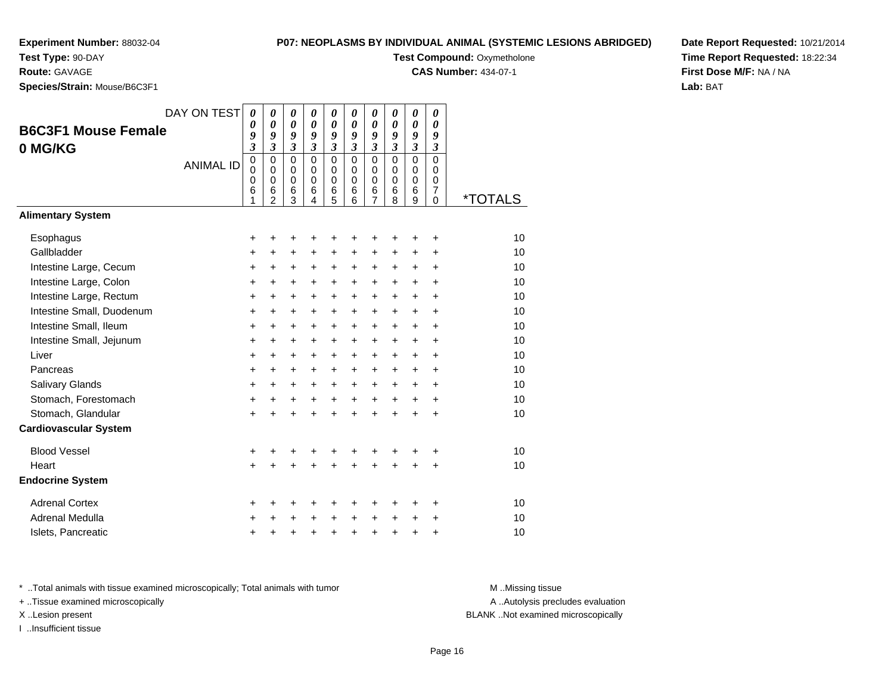**Test Type:** 90-DAY

#### **Route:** GAVAGE

**Species/Strain:** Mouse/B6C3F1

## **P07: NEOPLASMS BY INDIVIDUAL ANIMAL (SYSTEMIC LESIONS ABRIDGED)**

**Test Compound: Oxymetholone** 

**CAS Number:** 434-07-1

**Date Report Requested:** 10/21/2014**Time Report Requested:** 18:22:34**First Dose M/F:** NA / NA**Lab:** BAT

| <b>B6C3F1 Mouse Female</b><br>0 MG/KG | DAY ON TEST<br><b>ANIMAL ID</b> | $\boldsymbol{\theta}$<br>0<br>9<br>$\overline{\mathbf{3}}$<br>$\mathbf 0$<br>$\mathbf 0$<br>0<br>6 | $\boldsymbol{\theta}$<br>$\boldsymbol{\theta}$<br>9<br>$\overline{\mathbf{3}}$<br>$\mathbf 0$<br>$\mathbf 0$<br>0<br>6 | 0<br>$\boldsymbol{\theta}$<br>9<br>$\boldsymbol{\mathfrak{z}}$<br>$\mathbf 0$<br>$\mathbf 0$<br>$\mathbf 0$<br>6 | 0<br>$\boldsymbol{\theta}$<br>9<br>$\mathfrak{z}$<br>$\mathbf 0$<br>$\mathbf 0$<br>$\mathbf 0$<br>6 | 0<br>$\boldsymbol{\theta}$<br>9<br>$\mathfrak{z}$<br>$\mathbf 0$<br>$\mathbf 0$<br>0<br>6 | 0<br>$\boldsymbol{\theta}$<br>9<br>$\mathfrak{z}$<br>$\Omega$<br>$\Omega$<br>$\Omega$<br>6 | 0<br>$\boldsymbol{\theta}$<br>9<br>$\mathfrak{z}$<br>$\mathbf 0$<br>$\mathbf 0$<br>0<br>6<br>$\overline{7}$ | 0<br>0<br>9<br>$\mathfrak{z}$<br>$\mathbf 0$<br>$\mathbf 0$<br>0<br>6 | 0<br>$\boldsymbol{\theta}$<br>9<br>$\overline{\mathbf{3}}$<br>$\mathbf 0$<br>$\mathbf 0$<br>0<br>6 | 0<br>$\boldsymbol{\theta}$<br>9<br>$\mathfrak{z}$<br>0<br>$\mathbf 0$<br>0<br>$\overline{7}$ |                       |
|---------------------------------------|---------------------------------|----------------------------------------------------------------------------------------------------|------------------------------------------------------------------------------------------------------------------------|------------------------------------------------------------------------------------------------------------------|-----------------------------------------------------------------------------------------------------|-------------------------------------------------------------------------------------------|--------------------------------------------------------------------------------------------|-------------------------------------------------------------------------------------------------------------|-----------------------------------------------------------------------|----------------------------------------------------------------------------------------------------|----------------------------------------------------------------------------------------------|-----------------------|
| <b>Alimentary System</b>              |                                 | 1                                                                                                  | $\mathcal{P}$                                                                                                          | $\overline{3}$                                                                                                   | 4                                                                                                   | 5                                                                                         | 6                                                                                          |                                                                                                             | 8                                                                     | $\overline{9}$                                                                                     | 0                                                                                            | <i><b>*TOTALS</b></i> |
|                                       |                                 |                                                                                                    |                                                                                                                        |                                                                                                                  |                                                                                                     |                                                                                           |                                                                                            |                                                                                                             |                                                                       |                                                                                                    |                                                                                              |                       |
| Esophagus                             |                                 | +                                                                                                  | +                                                                                                                      | +                                                                                                                | +                                                                                                   | +                                                                                         | +                                                                                          | +                                                                                                           | +                                                                     | +                                                                                                  | +                                                                                            | 10                    |
| Gallbladder                           |                                 | $\ddot{}$                                                                                          | +                                                                                                                      | +                                                                                                                | +                                                                                                   | +                                                                                         | +                                                                                          | +                                                                                                           | +                                                                     | +                                                                                                  | +                                                                                            | 10                    |
| Intestine Large, Cecum                |                                 | $\ddot{}$                                                                                          | $\ddot{}$                                                                                                              | $\ddot{}$                                                                                                        | $\ddot{}$                                                                                           | $\ddot{}$                                                                                 | $\ddot{}$                                                                                  | $\ddot{}$                                                                                                   | $\ddot{}$                                                             | $\ddot{}$                                                                                          | $\ddot{}$                                                                                    | 10                    |
| Intestine Large, Colon                |                                 | $\ddot{}$                                                                                          | $\ddot{}$                                                                                                              | +                                                                                                                | $\ddot{}$                                                                                           | $\ddot{}$                                                                                 | $\ddot{}$                                                                                  | $\ddot{}$                                                                                                   | $+$                                                                   | $+$                                                                                                | $\ddot{}$                                                                                    | 10                    |
| Intestine Large, Rectum               |                                 | $\ddot{}$                                                                                          | $\ddot{}$                                                                                                              | +                                                                                                                | $\ddot{}$                                                                                           | $\ddot{}$                                                                                 | $\ddot{}$                                                                                  | $\ddot{}$                                                                                                   | $+$                                                                   | $\ddot{}$                                                                                          | $\ddot{}$                                                                                    | 10                    |
| Intestine Small, Duodenum             |                                 | $\ddot{}$                                                                                          | $\ddot{}$                                                                                                              | +                                                                                                                | $\ddot{}$                                                                                           | $\ddot{}$                                                                                 | $\ddot{}$                                                                                  | $\ddot{}$                                                                                                   | $\ddot{}$                                                             | $\ddot{}$                                                                                          | $\ddot{}$                                                                                    | 10                    |
| Intestine Small, Ileum                |                                 | +                                                                                                  | $\ddot{}$                                                                                                              | $\ddot{}$                                                                                                        | $\ddot{}$                                                                                           | $\ddot{}$                                                                                 | $\ddot{}$                                                                                  | $\ddot{}$                                                                                                   | $\ddot{}$                                                             | $\ddot{}$                                                                                          | +                                                                                            | 10                    |
| Intestine Small, Jejunum              |                                 | +                                                                                                  | +                                                                                                                      | $\ddot{}$                                                                                                        | $\ddot{}$                                                                                           | $\ddot{}$                                                                                 | $\ddot{}$                                                                                  | $\pm$                                                                                                       | $\ddot{}$                                                             | $\ddot{}$                                                                                          | +                                                                                            | 10                    |
| Liver                                 |                                 | $\ddot{}$                                                                                          | $\ddot{}$                                                                                                              | $\ddot{}$                                                                                                        | $\ddot{}$                                                                                           | $\ddot{}$                                                                                 | $\ddot{}$                                                                                  | $\ddot{}$                                                                                                   | $\ddot{}$                                                             | $\ddot{}$                                                                                          | $\ddot{}$                                                                                    | 10                    |
| Pancreas                              |                                 | $\ddot{}$                                                                                          | $\ddot{}$                                                                                                              | $\ddot{}$                                                                                                        | +                                                                                                   | $\ddot{}$                                                                                 | $\ddot{}$                                                                                  | $\ddot{}$                                                                                                   | $\ddot{}$                                                             | $\ddot{}$                                                                                          | $\ddot{}$                                                                                    | 10                    |
| Salivary Glands                       |                                 | +                                                                                                  | $\ddot{}$                                                                                                              | $\ddot{}$                                                                                                        | $\ddot{}$                                                                                           | $\ddot{}$                                                                                 | $\ddot{}$                                                                                  | $\ddot{}$                                                                                                   | $+$                                                                   | $\ddot{}$                                                                                          | $\ddot{}$                                                                                    | 10                    |
| Stomach, Forestomach                  |                                 | +                                                                                                  | +                                                                                                                      | +                                                                                                                | $\ddot{}$                                                                                           | $\ddot{}$                                                                                 | $\ddot{}$                                                                                  | $\ddot{}$                                                                                                   | $+$                                                                   | $\ddot{}$                                                                                          | $\ddot{}$                                                                                    | 10                    |
| Stomach, Glandular                    |                                 | +                                                                                                  |                                                                                                                        | +                                                                                                                |                                                                                                     | $\ddot{}$                                                                                 | $\ddot{}$                                                                                  | $\ddot{}$                                                                                                   | $\ddot{}$                                                             | $\ddot{}$                                                                                          | +                                                                                            | 10                    |
| <b>Cardiovascular System</b>          |                                 |                                                                                                    |                                                                                                                        |                                                                                                                  |                                                                                                     |                                                                                           |                                                                                            |                                                                                                             |                                                                       |                                                                                                    |                                                                                              |                       |
| <b>Blood Vessel</b>                   |                                 | +                                                                                                  | +                                                                                                                      | +                                                                                                                | +                                                                                                   | +                                                                                         | +                                                                                          | +                                                                                                           |                                                                       |                                                                                                    | +                                                                                            | 10                    |
| Heart                                 |                                 | $\ddot{}$                                                                                          |                                                                                                                        |                                                                                                                  |                                                                                                     | Ŧ.                                                                                        | ÷                                                                                          | $\ddot{}$                                                                                                   |                                                                       | $\ddot{}$                                                                                          | $\ddot{}$                                                                                    | 10                    |
| <b>Endocrine System</b>               |                                 |                                                                                                    |                                                                                                                        |                                                                                                                  |                                                                                                     |                                                                                           |                                                                                            |                                                                                                             |                                                                       |                                                                                                    |                                                                                              |                       |
| <b>Adrenal Cortex</b>                 |                                 | +                                                                                                  | +                                                                                                                      | +                                                                                                                | +                                                                                                   | +                                                                                         | +                                                                                          | +                                                                                                           | ٠                                                                     | ٠                                                                                                  | ٠                                                                                            | 10                    |
| Adrenal Medulla                       |                                 | +                                                                                                  |                                                                                                                        | +                                                                                                                |                                                                                                     | +                                                                                         | $\ddot{}$                                                                                  | +                                                                                                           | $\ddot{}$                                                             | +                                                                                                  | +                                                                                            | 10                    |
| Islets, Pancreatic                    |                                 | +                                                                                                  |                                                                                                                        | +                                                                                                                | +                                                                                                   | +                                                                                         | $\ddot{}$                                                                                  | +                                                                                                           | $\ddot{}$                                                             | +                                                                                                  | +                                                                                            | 10                    |

\* ..Total animals with tissue examined microscopically; Total animals with tumor **M** . Missing tissue M ..Missing tissue

+ ..Tissue examined microscopically

I ..Insufficient tissue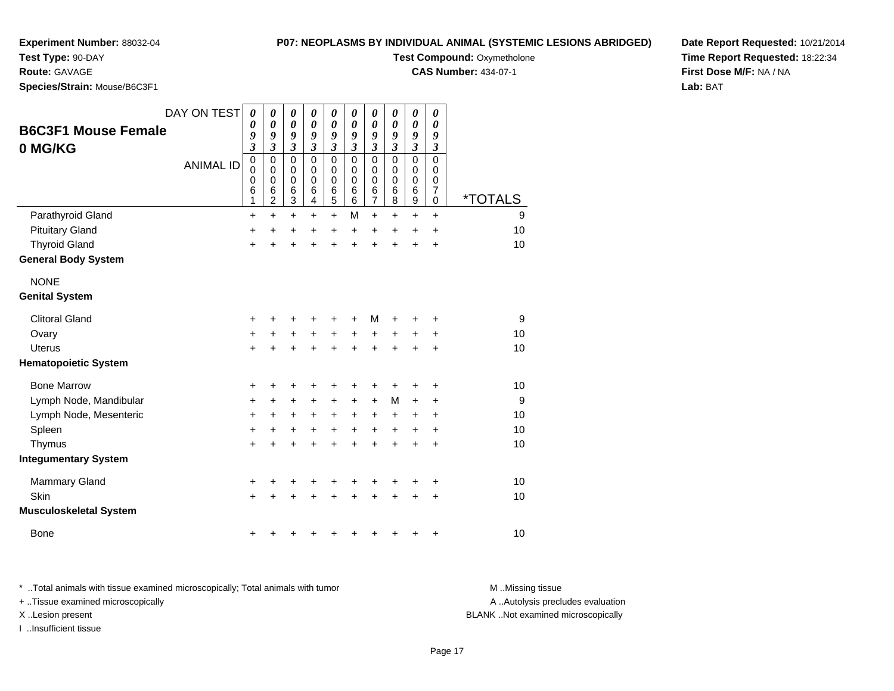**Test Type:** 90-DAY

### **Route:** GAVAGE

**Species/Strain:** Mouse/B6C3F1

### **P07: NEOPLASMS BY INDIVIDUAL ANIMAL (SYSTEMIC LESIONS ABRIDGED)**

**Test Compound: Oxymetholone** 

**CAS Number:** 434-07-1

**Date Report Requested:** 10/21/2014**Time Report Requested:** 18:22:34**First Dose M/F:** NA / NA**Lab:** BAT

|                               | DAY ON TEST      | $\boldsymbol{\theta}$<br>0 | 0<br>$\boldsymbol{\theta}$ | $\boldsymbol{\theta}$<br>$\boldsymbol{\theta}$ | $\boldsymbol{\theta}$<br>$\boldsymbol{\theta}$ | 0<br>$\boldsymbol{\theta}$  | 0<br>0                  | 0<br>0                      | 0              | 0<br>0                      | 0<br>0               |         |
|-------------------------------|------------------|----------------------------|----------------------------|------------------------------------------------|------------------------------------------------|-----------------------------|-------------------------|-----------------------------|----------------|-----------------------------|----------------------|---------|
| <b>B6C3F1 Mouse Female</b>    |                  | 9                          | 9                          | 9                                              | 9                                              | 9                           | 9                       | 9                           | 0<br>9         | 9                           | 9                    |         |
| 0 MG/KG                       |                  | $\mathfrak{z}$             | $\mathfrak{z}$             | $\mathfrak{z}$                                 | $\mathfrak{z}$                                 | $\boldsymbol{\mathfrak{z}}$ | $\mathfrak{z}$          | $\boldsymbol{\mathfrak{z}}$ | $\mathfrak{z}$ | $\boldsymbol{\mathfrak{z}}$ | $\boldsymbol{\beta}$ |         |
|                               | <b>ANIMAL ID</b> | $\mathbf 0$<br>$\mathbf 0$ | $\mathbf 0$<br>$\mathbf 0$ | $\mathbf 0$<br>0                               | $\Omega$<br>0                                  | $\mathbf 0$<br>$\mathbf 0$  | $\Omega$<br>$\mathbf 0$ | $\mathbf 0$<br>$\mathbf 0$  | $\Omega$<br>0  | $\mathbf 0$<br>0            | $\Omega$<br>0        |         |
|                               |                  | 0                          | $\pmb{0}$                  | $\mathbf 0$                                    | $\mathbf 0$                                    | $\mathbf 0$                 | $\pmb{0}$               | $\boldsymbol{0}$            | 0              | 0                           | 0                    |         |
|                               |                  | 6<br>1                     | 6<br>$\overline{2}$        | 6<br>3                                         | 6<br>4                                         | 6<br>5                      | 6<br>6                  | 6<br>$\overline{7}$         | 6<br>8         | 6<br>9                      | $\overline{7}$<br>0  | *TOTALS |
| Parathyroid Gland             |                  | $\ddot{}$                  | $\ddot{}$                  | $\ddot{}$                                      | $\ddot{}$                                      | $+$                         | M                       | $\ddot{}$                   | $\ddot{}$      | $\ddot{}$                   | $\ddot{}$            | 9       |
| <b>Pituitary Gland</b>        |                  | +                          | $\ddot{}$                  | +                                              | +                                              | $\ddot{}$                   | +                       | +                           | +              | +                           | +                    | 10      |
| <b>Thyroid Gland</b>          |                  | $\ddot{}$                  | $\ddot{}$                  | $\ddot{}$                                      |                                                | $\ddot{}$                   | $\ddot{}$               | $\ddot{}$                   | ÷              | $\ddot{}$                   | $\ddot{}$            | 10      |
| <b>General Body System</b>    |                  |                            |                            |                                                |                                                |                             |                         |                             |                |                             |                      |         |
| <b>NONE</b>                   |                  |                            |                            |                                                |                                                |                             |                         |                             |                |                             |                      |         |
| <b>Genital System</b>         |                  |                            |                            |                                                |                                                |                             |                         |                             |                |                             |                      |         |
| <b>Clitoral Gland</b>         |                  | +                          |                            |                                                |                                                |                             |                         | M                           |                | +                           | +                    | 9       |
| Ovary                         |                  | +                          | +                          | +                                              | +                                              | +                           | +                       | +                           | +              | +                           | +                    | 10      |
| Uterus                        |                  | $\ddot{}$                  |                            |                                                |                                                | +                           | ÷                       | $\ddot{}$                   | ÷              | +                           | $\ddot{}$            | 10      |
| <b>Hematopoietic System</b>   |                  |                            |                            |                                                |                                                |                             |                         |                             |                |                             |                      |         |
| <b>Bone Marrow</b>            |                  | +                          | +                          | +                                              |                                                |                             |                         | +                           |                | +                           | +                    | 10      |
| Lymph Node, Mandibular        |                  | +                          | +                          | +                                              | +                                              | $\ddot{}$                   | $\ddot{}$               | $\ddot{}$                   | M              | +                           | +                    | 9       |
| Lymph Node, Mesenteric        |                  | +                          | +                          | +                                              | +                                              | +                           | $\ddot{}$               | +                           | +              | +                           | +                    | 10      |
| Spleen                        |                  | +                          | +                          | +                                              | +                                              | $\ddot{}$                   | $\ddot{}$               | +                           | +              | +                           | +                    | 10      |
| Thymus                        |                  | +                          |                            |                                                |                                                |                             |                         | $\ddot{}$                   | Ŧ.             | $\ddot{}$                   | $\ddot{}$            | 10      |
| <b>Integumentary System</b>   |                  |                            |                            |                                                |                                                |                             |                         |                             |                |                             |                      |         |
| <b>Mammary Gland</b>          |                  | +                          | +                          | +                                              | +                                              | +                           | +                       | +                           | +              | +                           | +                    | 10      |
| Skin                          |                  | +                          |                            |                                                |                                                |                             |                         |                             |                | +                           | +                    | 10      |
| <b>Musculoskeletal System</b> |                  |                            |                            |                                                |                                                |                             |                         |                             |                |                             |                      |         |
| <b>Bone</b>                   |                  | +                          |                            |                                                |                                                |                             |                         |                             | +              | +                           | +                    | 10      |

\* ..Total animals with tissue examined microscopically; Total animals with tumor **M** . Missing tissue M ..Missing tissue + ..Tissue examined microscopically X ..Lesion present BLANK ..Not examined microscopically

I ..Insufficient tissue

A ..Autolysis precludes evaluation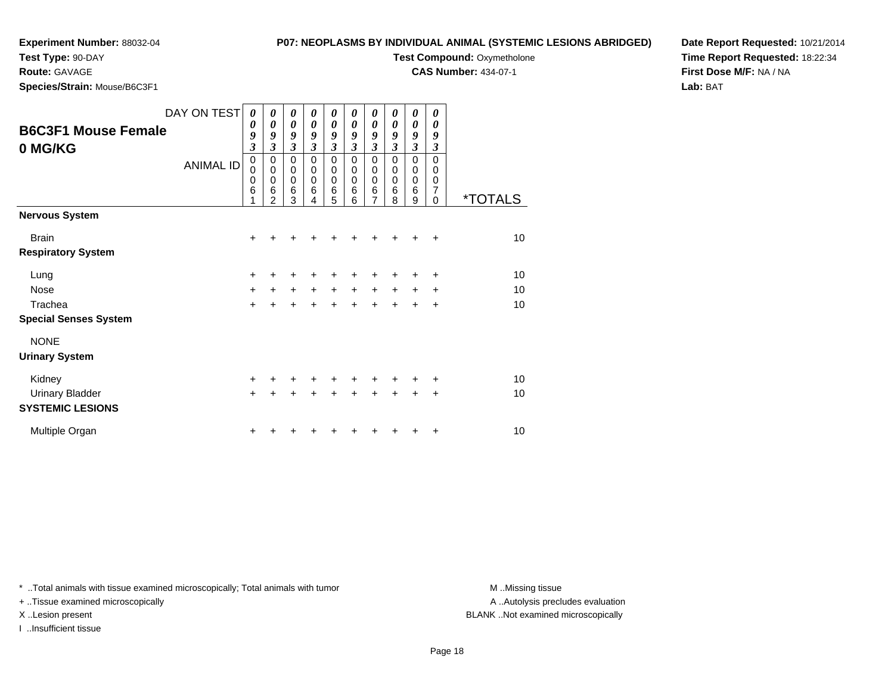**Test Type:** 90-DAY

**Route:** GAVAGE

**Species/Strain:** Mouse/B6C3F1

### **P07: NEOPLASMS BY INDIVIDUAL ANIMAL (SYSTEMIC LESIONS ABRIDGED)**

**Test Compound: Oxymetholone** 

**CAS Number:** 434-07-1

**Date Report Requested:** 10/21/2014**Time Report Requested:** 18:22:34**First Dose M/F:** NA / NA**Lab:** BAT

|                              | DAY ON TEST      | 0                            | 0                       | 0                         | 0                   | 0                   | 0                   | 0                       | 0                   | 0                     | 0             |                       |
|------------------------------|------------------|------------------------------|-------------------------|---------------------------|---------------------|---------------------|---------------------|-------------------------|---------------------|-----------------------|---------------|-----------------------|
| <b>B6C3F1 Mouse Female</b>   |                  | $\boldsymbol{\theta}$        | $\boldsymbol{\theta}$   | $\boldsymbol{\theta}$     | 0                   | 0                   | 0                   | $\boldsymbol{\theta}$   | 0                   | $\boldsymbol{\theta}$ | 0             |                       |
|                              |                  | 9<br>$\overline{\mathbf{3}}$ | 9<br>$\mathfrak{z}$     | 9<br>$\boldsymbol{\beta}$ | 9<br>$\mathfrak{z}$ | 9<br>$\mathfrak{z}$ | 9<br>$\mathfrak{z}$ | 9<br>$\mathfrak{z}$     | 9<br>$\mathfrak{z}$ | 9<br>$\mathfrak{z}$   | 9<br>3        |                       |
| 0 MG/KG                      |                  | $\pmb{0}$                    | $\pmb{0}$               | $\mathbf 0$               | $\mathbf 0$         | $\mathbf 0$         | $\Omega$            | $\Omega$                | $\Omega$            | $\mathbf 0$           | $\mathbf 0$   |                       |
|                              | <b>ANIMAL ID</b> | $\mathbf 0$                  | $\pmb{0}$               | $\pmb{0}$                 | $\pmb{0}$           | 0                   | 0                   | 0                       | 0                   | $\mathbf 0$           | 0             |                       |
|                              |                  | $\mathbf 0$                  | $\mathbf 0$             | $\mathbf 0$               | $\mathbf 0$         | $\mathbf 0$         | $\mathbf 0$         | $\mathbf 0$             | $\mathbf 0$         | $\mathbf 0$           | 0             |                       |
|                              |                  | $6\phantom{1}6$<br>1         | $\,6$<br>$\overline{2}$ | $\,6$<br>3                | $\,6$<br>4          | 6<br>5              | 6<br>6              | $\,6$<br>$\overline{7}$ | 6<br>8              | $6\phantom{1}6$<br>9  | 7<br>$\Omega$ | <i><b>*TOTALS</b></i> |
| <b>Nervous System</b>        |                  |                              |                         |                           |                     |                     |                     |                         |                     |                       |               |                       |
| <b>Brain</b>                 |                  | $\ddot{}$                    |                         |                           |                     |                     |                     |                         |                     |                       | $\ddot{}$     | 10                    |
| <b>Respiratory System</b>    |                  |                              |                         |                           |                     |                     |                     |                         |                     |                       |               |                       |
| Lung                         |                  | +                            |                         |                           |                     | +                   | +                   | +                       |                     |                       | +             | 10                    |
| <b>Nose</b>                  |                  | $\ddot{}$                    | $+$                     |                           | $+$ $+$             | $+$                 | $+$                 | $+$                     | $+$                 | $\ddot{}$             | $\ddot{}$     | 10                    |
| Trachea                      |                  | $\ddot{}$                    | $\ddot{}$               | $\ddot{}$                 | $\ddot{}$           | $\ddot{}$           | $\ddot{}$           | $+$                     | $+$                 | $\ddot{}$             | $\ddot{}$     | 10                    |
| <b>Special Senses System</b> |                  |                              |                         |                           |                     |                     |                     |                         |                     |                       |               |                       |
| <b>NONE</b>                  |                  |                              |                         |                           |                     |                     |                     |                         |                     |                       |               |                       |
| <b>Urinary System</b>        |                  |                              |                         |                           |                     |                     |                     |                         |                     |                       |               |                       |
| Kidney                       |                  | $\ddot{}$                    |                         |                           |                     |                     |                     | +                       |                     |                       | ٠             | 10                    |
| <b>Urinary Bladder</b>       |                  | $\ddot{}$                    |                         |                           |                     |                     | +                   | ÷                       |                     | ÷                     | +             | 10                    |
| <b>SYSTEMIC LESIONS</b>      |                  |                              |                         |                           |                     |                     |                     |                         |                     |                       |               |                       |
| Multiple Organ               |                  | +                            |                         |                           |                     |                     |                     |                         |                     |                       | +             | 10                    |

\* ..Total animals with tissue examined microscopically; Total animals with tumor **M** . Missing tissue M ..Missing tissue

+ ..Tissue examined microscopically

I ..Insufficient tissue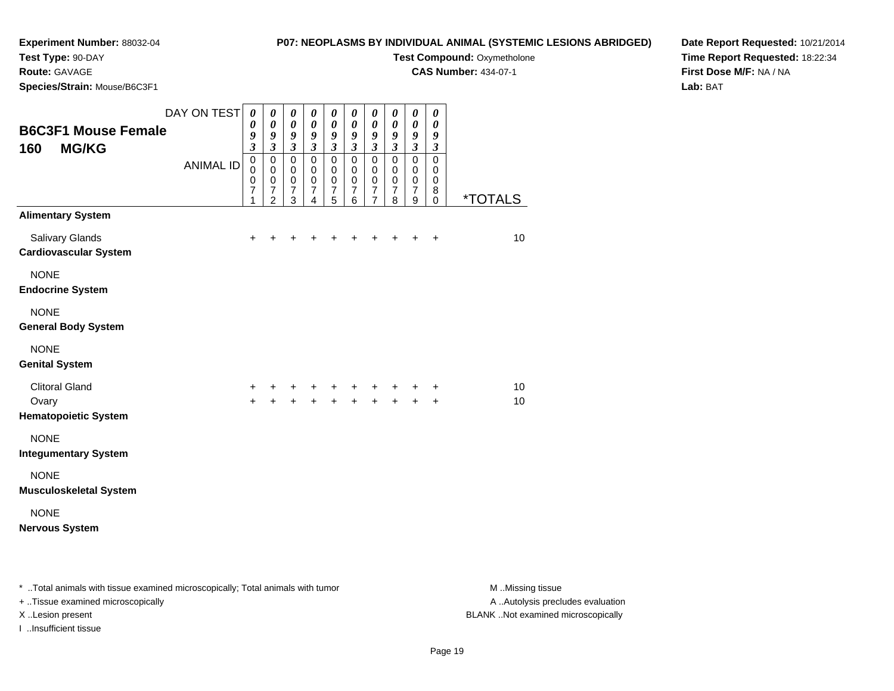## **Experiment Number:** 88032-04**Test Type:** 90-DAY

# **P07: NEOPLASMS BY INDIVIDUAL ANIMAL (SYSTEMIC LESIONS ABRIDGED)**

**Test Compound: Oxymetholone** 

**CAS Number:** 434-07-1

**Date Report Requested:** 10/21/2014**Time Report Requested:** 18:22:34**First Dose M/F:** NA / NA**Lab:** BAT

**Route:** GAVAGE

| Species/Strain: Mouse/B6C3F1                      |                                 |                                                                                          |                                                                               |                                                                                                   |                                                                                                   |                                                                                    |                                                                                 |                                                                                                             |                                                                                     |                                                                                          |                                                                             |                       |
|---------------------------------------------------|---------------------------------|------------------------------------------------------------------------------------------|-------------------------------------------------------------------------------|---------------------------------------------------------------------------------------------------|---------------------------------------------------------------------------------------------------|------------------------------------------------------------------------------------|---------------------------------------------------------------------------------|-------------------------------------------------------------------------------------------------------------|-------------------------------------------------------------------------------------|------------------------------------------------------------------------------------------|-----------------------------------------------------------------------------|-----------------------|
| <b>B6C3F1 Mouse Female</b><br><b>MG/KG</b><br>160 | DAY ON TEST<br><b>ANIMAL ID</b> | $\boldsymbol{\theta}$<br>0<br>9<br>$\overline{\mathbf{3}}$<br>$\mathbf 0$<br>$\mathbf 0$ | 0<br>$\boldsymbol{\theta}$<br>9<br>$\mathfrak{z}$<br>$\pmb{0}$<br>$\mathbf 0$ | 0<br>$\boldsymbol{\theta}$<br>$\boldsymbol{9}$<br>$\mathfrak{z}$<br>$\overline{0}$<br>$\mathbf 0$ | $\boldsymbol{\theta}$<br>$\boldsymbol{\theta}$<br>9<br>$\mathfrak{z}$<br>$\pmb{0}$<br>$\mathbf 0$ | 0<br>$\boldsymbol{\theta}$<br>9<br>$\mathfrak{z}$<br>$\overline{0}$<br>$\mathbf 0$ | 0<br>$\boldsymbol{\theta}$<br>9<br>$\mathfrak{z}$<br>$\mathbf 0$<br>$\mathbf 0$ | $\boldsymbol{\theta}$<br>$\pmb{\theta}$<br>$\boldsymbol{9}$<br>$\mathfrak{z}$<br>$\mathsf 0$<br>$\mathbf 0$ | 0<br>$\pmb{\theta}$<br>$\boldsymbol{g}$<br>$\mathfrak{z}$<br>$\mathbf 0$<br>$\,0\,$ | 0<br>$\pmb{\theta}$<br>$\boldsymbol{g}$<br>$\mathfrak{z}$<br>$\overline{0}$<br>$\pmb{0}$ | 0<br>$\boldsymbol{\theta}$<br>9<br>$\boldsymbol{\beta}$<br>$\mathsf 0$<br>0 |                       |
|                                                   |                                 | $\mathbf 0$<br>$\overline{7}$<br>1                                                       | $\mathbf 0$<br>$\overline{7}$<br>$\overline{2}$                               | $\mathbf 0$<br>$\overline{7}$<br>3                                                                | $\pmb{0}$<br>$\overline{7}$<br>$\overline{4}$                                                     | $\pmb{0}$<br>$\overline{7}$<br>5                                                   | $\pmb{0}$<br>$\overline{7}$<br>6                                                | $\pmb{0}$<br>$\overline{7}$<br>$\overline{7}$                                                               | $\pmb{0}$<br>$\boldsymbol{7}$<br>8                                                  | $\pmb{0}$<br>$\overline{7}$<br>$\boldsymbol{9}$                                          | 0<br>8<br>$\Omega$                                                          | <i><b>*TOTALS</b></i> |
| <b>Alimentary System</b>                          |                                 |                                                                                          |                                                                               |                                                                                                   |                                                                                                   |                                                                                    |                                                                                 |                                                                                                             |                                                                                     |                                                                                          |                                                                             |                       |
| Salivary Glands<br><b>Cardiovascular System</b>   |                                 | $\ddot{}$                                                                                | $\ddot{}$                                                                     | ٠                                                                                                 | +                                                                                                 | +                                                                                  | +                                                                               | $\ddot{}$                                                                                                   | $\ddot{}$                                                                           | $\ddot{}$                                                                                | $\ddot{}$                                                                   | 10                    |
| <b>NONE</b><br><b>Endocrine System</b>            |                                 |                                                                                          |                                                                               |                                                                                                   |                                                                                                   |                                                                                    |                                                                                 |                                                                                                             |                                                                                     |                                                                                          |                                                                             |                       |
| <b>NONE</b><br><b>General Body System</b>         |                                 |                                                                                          |                                                                               |                                                                                                   |                                                                                                   |                                                                                    |                                                                                 |                                                                                                             |                                                                                     |                                                                                          |                                                                             |                       |
| <b>NONE</b><br><b>Genital System</b>              |                                 |                                                                                          |                                                                               |                                                                                                   |                                                                                                   |                                                                                    |                                                                                 |                                                                                                             |                                                                                     |                                                                                          |                                                                             |                       |
| <b>Clitoral Gland</b>                             |                                 | +                                                                                        | $\pm$                                                                         | $\pm$                                                                                             | $+$                                                                                               | $\ddot{}$                                                                          | $+$                                                                             | $\ddot{}$                                                                                                   | $+$                                                                                 | +                                                                                        | +                                                                           | 10                    |
| Ovary<br><b>Hematopoietic System</b>              |                                 | $\ddot{}$                                                                                | $+$                                                                           | $+$                                                                                               | $+$                                                                                               | $+$                                                                                | $+$                                                                             | $+$                                                                                                         | $+$                                                                                 | $\ddot{}$                                                                                | $\ddot{}$                                                                   | 10                    |
| <b>NONE</b><br><b>Integumentary System</b>        |                                 |                                                                                          |                                                                               |                                                                                                   |                                                                                                   |                                                                                    |                                                                                 |                                                                                                             |                                                                                     |                                                                                          |                                                                             |                       |
| <b>NONE</b><br><b>Musculoskeletal System</b>      |                                 |                                                                                          |                                                                               |                                                                                                   |                                                                                                   |                                                                                    |                                                                                 |                                                                                                             |                                                                                     |                                                                                          |                                                                             |                       |
| <b>NONE</b><br><b>Nervous System</b>              |                                 |                                                                                          |                                                                               |                                                                                                   |                                                                                                   |                                                                                    |                                                                                 |                                                                                                             |                                                                                     |                                                                                          |                                                                             |                       |
|                                                   |                                 |                                                                                          |                                                                               |                                                                                                   |                                                                                                   |                                                                                    |                                                                                 |                                                                                                             |                                                                                     |                                                                                          |                                                                             |                       |

\* ..Total animals with tissue examined microscopically; Total animals with tumor **M** . Missing tissue M ..Missing tissue + ..Tissue examined microscopically X ..Lesion present BLANK ..Not examined microscopically

I ..Insufficient tissue

A ..Autolysis precludes evaluation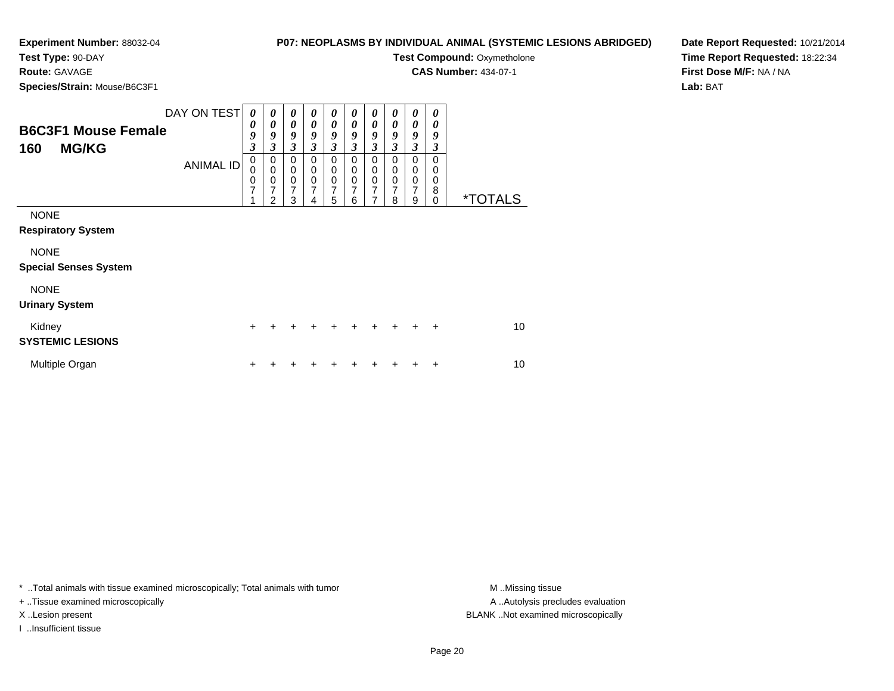**Test Type:** 90-DAY

**Route:** GAVAGE

**Species/Strain:** Mouse/B6C3F1

| P07: NEOPLASMS BY INDIVIDUAL ANIMAL (SYSTEMIC LESIONS ABRIDGED) |  |
|-----------------------------------------------------------------|--|
|-----------------------------------------------------------------|--|

**Test Compound: Oxymetholone** 

**CAS Number:** 434-07-1

**Date Report Requested:** 10/21/2014**Time Report Requested:** 18:22:34**First Dose M/F:** NA / NA**Lab:** BAT

| <b>B6C3F1 Mouse Female</b><br><b>MG/KG</b><br>160       | DAY ON TEST<br><b>ANIMAL ID</b> | 0<br>0<br>9<br>$\boldsymbol{\mathfrak{z}}$<br>$\mathbf 0$<br>0<br>$\mathbf 0$<br>7<br>1 | 0<br>0<br>9<br>3<br>0<br>$\mathbf 0$<br>$\mathbf 0$<br>7<br>$\overline{2}$ | $\boldsymbol{\theta}$<br>$\boldsymbol{\theta}$<br>9<br>$\overline{\mathbf{3}}$<br>0<br>$\mathbf 0$<br>$\pmb{0}$<br>7<br>3 | 0<br>$\boldsymbol{\theta}$<br>9<br>$\mathfrak{z}$<br>0<br>$\mathbf 0$<br>$\mathbf 0$<br>7<br>4 | 0<br>$\boldsymbol{\theta}$<br>9<br>$\mathfrak{z}$<br>$\mathbf 0$<br>$\mathbf 0$<br>$\pmb{0}$<br>$\overline{7}$<br>5 | 0<br>0<br>9<br>3<br>0<br>$\mathbf 0$<br>$\mathbf 0$<br>7<br>6 | 0<br>$\boldsymbol{\theta}$<br>9<br>$\mathfrak{z}$<br>0<br>$\pmb{0}$<br>$\pmb{0}$<br>7<br>$\overline{7}$ | 0<br>0<br>9<br>$\boldsymbol{\beta}$<br>0<br>0<br>$\mathbf 0$<br>7<br>8 | 0<br>0<br>9<br>$\mathfrak{z}$<br>0<br>0<br>$\mathbf 0$<br>$\overline{7}$<br>9 | 0<br>0<br>9<br>3<br>0<br>0<br>0<br>8<br>0 | <i><b>*TOTALS</b></i> |
|---------------------------------------------------------|---------------------------------|-----------------------------------------------------------------------------------------|----------------------------------------------------------------------------|---------------------------------------------------------------------------------------------------------------------------|------------------------------------------------------------------------------------------------|---------------------------------------------------------------------------------------------------------------------|---------------------------------------------------------------|---------------------------------------------------------------------------------------------------------|------------------------------------------------------------------------|-------------------------------------------------------------------------------|-------------------------------------------|-----------------------|
| <b>NONE</b><br><b>Respiratory System</b><br><b>NONE</b> |                                 |                                                                                         |                                                                            |                                                                                                                           |                                                                                                |                                                                                                                     |                                                               |                                                                                                         |                                                                        |                                                                               |                                           |                       |
| <b>Special Senses System</b>                            |                                 |                                                                                         |                                                                            |                                                                                                                           |                                                                                                |                                                                                                                     |                                                               |                                                                                                         |                                                                        |                                                                               |                                           |                       |
| <b>NONE</b><br><b>Urinary System</b>                    |                                 |                                                                                         |                                                                            |                                                                                                                           |                                                                                                |                                                                                                                     |                                                               |                                                                                                         |                                                                        |                                                                               |                                           |                       |
| Kidney<br><b>SYSTEMIC LESIONS</b>                       |                                 | $\ddot{}$                                                                               |                                                                            |                                                                                                                           |                                                                                                | $\div$                                                                                                              |                                                               |                                                                                                         |                                                                        |                                                                               | $\ddot{}$                                 | 10                    |
| Multiple Organ                                          |                                 | $\ddot{}$                                                                               |                                                                            |                                                                                                                           |                                                                                                |                                                                                                                     |                                                               |                                                                                                         |                                                                        |                                                                               | ٠                                         | 10                    |

\* ..Total animals with tissue examined microscopically; Total animals with tumor **M** ..Missing tissue M ..Missing tissue

+ ..Tissue examined microscopically

I ..Insufficient tissue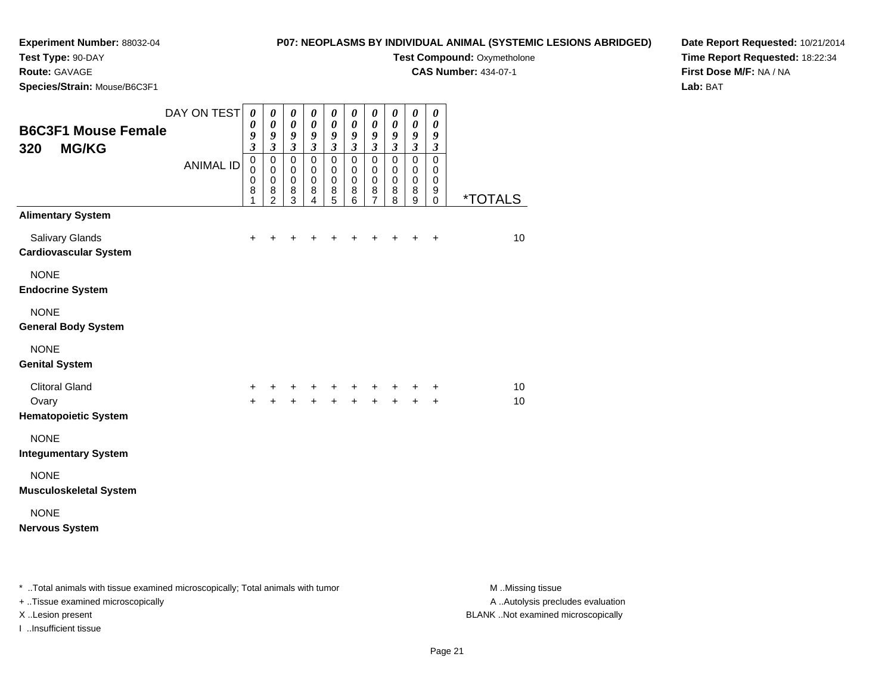**Test Type:** 90-DAY

## **Route:** GAVAGE

**Species/Strain:** Mouse/B6C3F1

**P07: NEOPLASMS BY INDIVIDUAL ANIMAL (SYSTEMIC LESIONS ABRIDGED)**

**Test Compound: Oxymetholone** 

**CAS Number:** 434-07-1

**Date Report Requested:** 10/21/2014**Time Report Requested:** 18:22:34**First Dose M/F:** NA / NA**Lab:** BAT

| <b>B6C3F1 Mouse Female</b><br><b>MG/KG</b><br>320      | DAY ON TEST<br><b>ANIMAL ID</b> | $\boldsymbol{\theta}$<br>$\boldsymbol{\theta}$<br>9<br>$\mathfrak{z}$<br>$\pmb{0}$<br>0 | 0<br>$\boldsymbol{\theta}$<br>9<br>$\mathfrak{z}$<br>$\mathbf 0$<br>$\mathbf 0$ | 0<br>$\pmb{\theta}$<br>$\boldsymbol{g}$<br>$\boldsymbol{\mathfrak{z}}$<br>$\mathbf 0$<br>0 | 0<br>$\boldsymbol{\theta}$<br>$\boldsymbol{g}$<br>$\mathfrak{z}$<br>$\pmb{0}$<br>0 | 0<br>$\boldsymbol{\theta}$<br>$\boldsymbol{g}$<br>$\boldsymbol{\beta}$<br>$\mathbf 0$<br>0 | 0<br>$\boldsymbol{\theta}$<br>9<br>$\boldsymbol{\beta}$<br>$\mathbf 0$<br>0 | 0<br>$\boldsymbol{\theta}$<br>$\boldsymbol{g}$<br>$\mathfrak{z}$<br>$\mathbf 0$<br>0 | 0<br>$\pmb{\theta}$<br>9<br>$\boldsymbol{\beta}$<br>$\mathbf 0$<br>0 | 0<br>$\pmb{\theta}$<br>9<br>$\boldsymbol{\mathfrak{z}}$<br>$\mathsf 0$<br>0 | 0<br>$\boldsymbol{\theta}$<br>$\boldsymbol{g}$<br>$\boldsymbol{\beta}$<br>$\mathbf 0$<br>0 |                       |
|--------------------------------------------------------|---------------------------------|-----------------------------------------------------------------------------------------|---------------------------------------------------------------------------------|--------------------------------------------------------------------------------------------|------------------------------------------------------------------------------------|--------------------------------------------------------------------------------------------|-----------------------------------------------------------------------------|--------------------------------------------------------------------------------------|----------------------------------------------------------------------|-----------------------------------------------------------------------------|--------------------------------------------------------------------------------------------|-----------------------|
|                                                        |                                 | $\pmb{0}$<br>$\bf8$<br>1                                                                | $\pmb{0}$<br>8<br>$\overline{2}$                                                | $\mathbf 0$<br>8<br>3                                                                      | $\mathbf 0$<br>8<br>4                                                              | $\mathbf 0$<br>8<br>5                                                                      | $\pmb{0}$<br>8<br>6                                                         | $\pmb{0}$<br>$\bf8$<br>$\overline{7}$                                                | $\pmb{0}$<br>$\bf8$<br>8                                             | $\pmb{0}$<br>8<br>9                                                         | $\mathbf 0$<br>9<br>0                                                                      | <i><b>*TOTALS</b></i> |
| <b>Alimentary System</b>                               |                                 |                                                                                         |                                                                                 |                                                                                            |                                                                                    |                                                                                            |                                                                             |                                                                                      |                                                                      |                                                                             |                                                                                            |                       |
| <b>Salivary Glands</b><br><b>Cardiovascular System</b> |                                 | ÷                                                                                       |                                                                                 |                                                                                            |                                                                                    | +                                                                                          | +                                                                           | +                                                                                    | +                                                                    | +                                                                           | $\ddot{}$                                                                                  | 10                    |
| <b>NONE</b><br><b>Endocrine System</b>                 |                                 |                                                                                         |                                                                                 |                                                                                            |                                                                                    |                                                                                            |                                                                             |                                                                                      |                                                                      |                                                                             |                                                                                            |                       |
| <b>NONE</b><br><b>General Body System</b>              |                                 |                                                                                         |                                                                                 |                                                                                            |                                                                                    |                                                                                            |                                                                             |                                                                                      |                                                                      |                                                                             |                                                                                            |                       |
| <b>NONE</b><br><b>Genital System</b>                   |                                 |                                                                                         |                                                                                 |                                                                                            |                                                                                    |                                                                                            |                                                                             |                                                                                      |                                                                      |                                                                             |                                                                                            |                       |
| <b>Clitoral Gland</b>                                  |                                 | $\pm$                                                                                   |                                                                                 | ÷                                                                                          | +                                                                                  | $\ddot{}$                                                                                  | +                                                                           | $\ddot{}$                                                                            | ÷                                                                    | +                                                                           | $\ddot{}$                                                                                  | 10                    |
| Ovary<br><b>Hematopoietic System</b>                   |                                 | $+$                                                                                     | $\ddot{}$                                                                       | $\ddot{}$                                                                                  | $\ddot{}$                                                                          | $\ddot{}$                                                                                  | $\ddot{}$                                                                   | $\ddot{}$                                                                            | $\ddot{}$                                                            | $\ddot{}$                                                                   | $\ddot{}$                                                                                  | 10                    |
| <b>NONE</b><br><b>Integumentary System</b>             |                                 |                                                                                         |                                                                                 |                                                                                            |                                                                                    |                                                                                            |                                                                             |                                                                                      |                                                                      |                                                                             |                                                                                            |                       |
| <b>NONE</b><br><b>Musculoskeletal System</b>           |                                 |                                                                                         |                                                                                 |                                                                                            |                                                                                    |                                                                                            |                                                                             |                                                                                      |                                                                      |                                                                             |                                                                                            |                       |
| <b>NONE</b><br><b>Nervous System</b>                   |                                 |                                                                                         |                                                                                 |                                                                                            |                                                                                    |                                                                                            |                                                                             |                                                                                      |                                                                      |                                                                             |                                                                                            |                       |
|                                                        |                                 |                                                                                         |                                                                                 |                                                                                            |                                                                                    |                                                                                            |                                                                             |                                                                                      |                                                                      |                                                                             |                                                                                            |                       |

\* ..Total animals with tissue examined microscopically; Total animals with tumor **M** . Missing tissue M ..Missing tissue

+ ..Tissue examined microscopically

I ..Insufficient tissue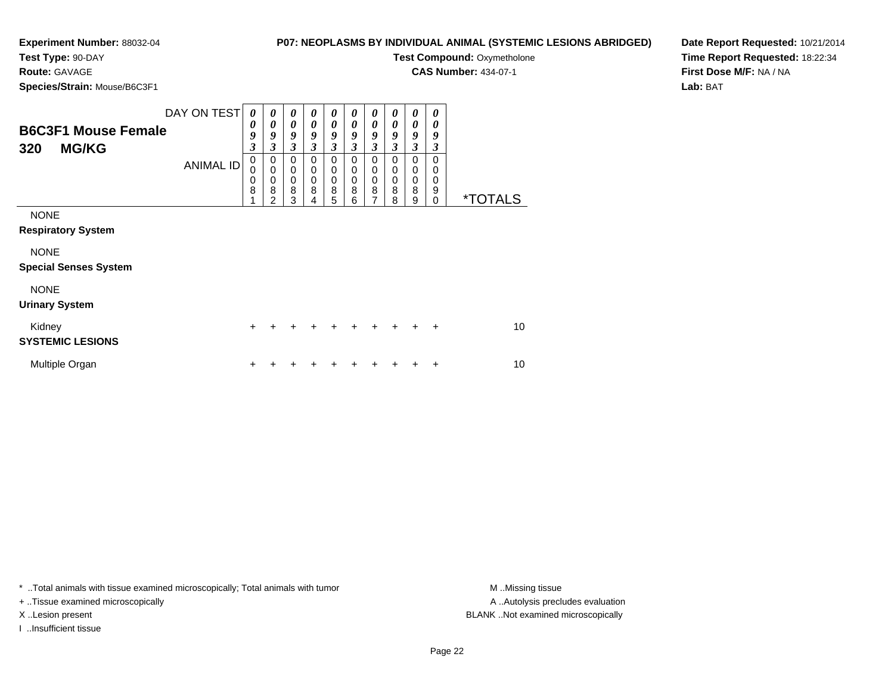## **P07: NEOPLASMS BY INDIVIDUAL ANIMAL (SYSTEMIC LESIONS ABRIDGED)**

**Test Compound: Oxymetholone CAS Number:** 434-07-1

**Test Type:** 90-DAY

**Route:** GAVAGE

**Species/Strain:** Mouse/B6C3F1

| Species/Strain: Mouse/B6C3F1                                                            |                                 |                                      |                                                                                                           |                                           |                                           |                                           |                                                                 |                                           |                                           |                                                  |                                                     |                       |    |
|-----------------------------------------------------------------------------------------|---------------------------------|--------------------------------------|-----------------------------------------------------------------------------------------------------------|-------------------------------------------|-------------------------------------------|-------------------------------------------|-----------------------------------------------------------------|-------------------------------------------|-------------------------------------------|--------------------------------------------------|-----------------------------------------------------|-----------------------|----|
| <b>B6C3F1 Mouse Female</b><br>320<br><b>MG/KG</b>                                       | DAY ON TEST<br><b>ANIMAL ID</b> | 0<br>0<br>9<br>3<br>0<br>0<br>0<br>8 | $\boldsymbol{\theta}$<br>0<br>9<br>$\mathfrak{z}$<br>0<br>$\mathbf 0$<br>$\pmb{0}$<br>8<br>$\overline{2}$ | 0<br>0<br>9<br>3<br>0<br>0<br>0<br>8<br>3 | 0<br>0<br>9<br>3<br>0<br>0<br>0<br>8<br>4 | 0<br>0<br>9<br>3<br>0<br>0<br>0<br>8<br>5 | 0<br>0<br>9<br>$\overline{\mathbf{3}}$<br>0<br>0<br>0<br>8<br>6 | 0<br>0<br>9<br>3<br>0<br>0<br>0<br>8<br>7 | 0<br>0<br>9<br>3<br>0<br>0<br>0<br>8<br>8 | 0<br>0<br>9<br>3<br>0<br>$\Omega$<br>0<br>8<br>9 | 0<br>0<br>9<br>3<br>0<br>0<br>0<br>9<br>$\mathbf 0$ | <i><b>*TOTALS</b></i> |    |
| <b>NONE</b><br><b>Respiratory System</b><br><b>NONE</b><br><b>Special Senses System</b> |                                 |                                      |                                                                                                           |                                           |                                           |                                           |                                                                 |                                           |                                           |                                                  |                                                     |                       |    |
| <b>NONE</b><br><b>Urinary System</b>                                                    |                                 |                                      |                                                                                                           |                                           |                                           |                                           |                                                                 |                                           |                                           |                                                  |                                                     |                       |    |
| Kidney<br><b>SYSTEMIC LESIONS</b>                                                       |                                 | +                                    |                                                                                                           |                                           |                                           |                                           |                                                                 |                                           |                                           |                                                  | $\ddot{}$                                           |                       | 10 |
| Multiple Organ                                                                          |                                 | +                                    |                                                                                                           |                                           |                                           |                                           |                                                                 |                                           |                                           |                                                  |                                                     |                       | 10 |

\* ..Total animals with tissue examined microscopically; Total animals with tumor **M** . Missing tissue M ..Missing tissue

+ ..Tissue examined microscopically

I ..Insufficient tissue

A ..Autolysis precludes evaluation X ..Lesion present BLANK ..Not examined microscopically

**Date Report Requested:** 10/21/2014**Time Report Requested:** 18:22:34**First Dose M/F:** NA / NA**Lab:** BAT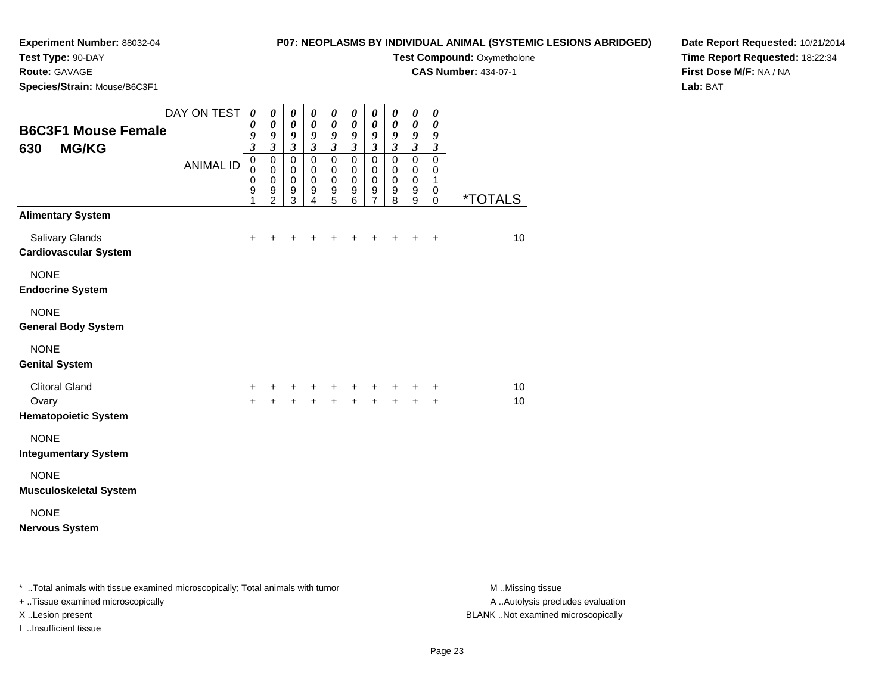## **P07: NEOPLASMS BY INDIVIDUAL ANIMAL (SYSTEMIC LESIONS ABRIDGED)Test Compound: Oxymetholone**

**CAS Number:** 434-07-1

**Test Type:** 90-DAY

**Route:** GAVAGE

**Species/Strain:** Mouse/B6C3F1

**Date Report Requested:** 10/21/2014**Time Report Requested:** 18:22:34**First Dose M/F:** NA / NA**Lab:** BAT

| <b>B6C3F1 Mouse Female</b><br><b>MG/KG</b><br>630                           | DAY ON TEST<br><b>ANIMAL ID</b> | 0<br>0<br>9<br>$\overline{\mathbf{3}}$<br>$\mathbf 0$<br>$\Omega$<br>$\mathbf 0$<br>$\boldsymbol{9}$<br>1 | 0<br>$\boldsymbol{\theta}$<br>9<br>$\mathfrak{z}$<br>$\mathbf 0$<br>$\mathbf 0$<br>$\mathbf 0$<br>$\boldsymbol{9}$<br>$\overline{2}$ | $\boldsymbol{\theta}$<br>$\boldsymbol{\theta}$<br>9<br>$\overline{\mathbf{3}}$<br>$\mathbf 0$<br>$\mathbf 0$<br>$\pmb{0}$<br>$\overline{9}$<br>3 | 0<br>$\boldsymbol{\theta}$<br>9<br>$\overline{\mathbf{3}}$<br>$\mathbf 0$<br>$\mathbf 0$<br>$\mathbf 0$<br>9<br>$\overline{4}$ | $\boldsymbol{\theta}$<br>$\boldsymbol{\theta}$<br>9<br>$\overline{\mathbf{3}}$<br>$\mathbf 0$<br>$\mathbf 0$<br>$\mathbf 0$<br>9<br>5 | $\boldsymbol{\theta}$<br>$\boldsymbol{\theta}$<br>9<br>$\overline{\mathbf{3}}$<br>$\mathbf 0$<br>$\mathbf 0$<br>$\mathbf 0$<br>$\boldsymbol{9}$<br>6 | $\boldsymbol{\theta}$<br>$\boldsymbol{\theta}$<br>9<br>$\overline{\mathbf{3}}$<br>$\mathbf 0$<br>$\mathbf 0$<br>$\pmb{0}$<br>$\boldsymbol{9}$<br>$\overline{7}$ | 0<br>0<br>9<br>$\mathfrak{z}$<br>$\mathbf 0$<br>$\Omega$<br>$\mathbf 0$<br>9<br>8 | $\boldsymbol{\theta}$<br>$\boldsymbol{\theta}$<br>9<br>$\boldsymbol{\mathfrak{z}}$<br>$\mathbf 0$<br>$\mathbf 0$<br>$\mathbf 0$<br>9<br>9 | 0<br>0<br>9<br>$\boldsymbol{\mathfrak{z}}$<br>0<br>$\mathbf 0$<br>$\mathbf{1}$<br>0<br>0 | <i><b>*TOTALS</b></i> |
|-----------------------------------------------------------------------------|---------------------------------|-----------------------------------------------------------------------------------------------------------|--------------------------------------------------------------------------------------------------------------------------------------|--------------------------------------------------------------------------------------------------------------------------------------------------|--------------------------------------------------------------------------------------------------------------------------------|---------------------------------------------------------------------------------------------------------------------------------------|------------------------------------------------------------------------------------------------------------------------------------------------------|-----------------------------------------------------------------------------------------------------------------------------------------------------------------|-----------------------------------------------------------------------------------|-------------------------------------------------------------------------------------------------------------------------------------------|------------------------------------------------------------------------------------------|-----------------------|
| <b>Alimentary System</b><br>Salivary Glands<br><b>Cardiovascular System</b> |                                 | $\ddot{}$                                                                                                 | $\ddot{}$                                                                                                                            |                                                                                                                                                  | +                                                                                                                              | +                                                                                                                                     |                                                                                                                                                      |                                                                                                                                                                 | $\ddot{}$                                                                         | $\ddot{}$                                                                                                                                 | $\ddot{}$                                                                                | 10 <sup>1</sup>       |
| <b>NONE</b><br><b>Endocrine System</b>                                      |                                 |                                                                                                           |                                                                                                                                      |                                                                                                                                                  |                                                                                                                                |                                                                                                                                       |                                                                                                                                                      |                                                                                                                                                                 |                                                                                   |                                                                                                                                           |                                                                                          |                       |
| <b>NONE</b><br><b>General Body System</b>                                   |                                 |                                                                                                           |                                                                                                                                      |                                                                                                                                                  |                                                                                                                                |                                                                                                                                       |                                                                                                                                                      |                                                                                                                                                                 |                                                                                   |                                                                                                                                           |                                                                                          |                       |
| <b>NONE</b><br><b>Genital System</b>                                        |                                 |                                                                                                           |                                                                                                                                      |                                                                                                                                                  |                                                                                                                                |                                                                                                                                       |                                                                                                                                                      |                                                                                                                                                                 |                                                                                   |                                                                                                                                           |                                                                                          |                       |
| <b>Clitoral Gland</b><br>Ovary<br><b>Hematopoietic System</b>               |                                 | +<br>÷                                                                                                    | +<br>$\ddot{}$                                                                                                                       | +<br>$\ddot{}$                                                                                                                                   | $\ddot{}$<br>$+$                                                                                                               | +<br>$\ddot{}$                                                                                                                        | +                                                                                                                                                    | +<br>$\ddot{}$                                                                                                                                                  | ٠<br>$\ddot{}$                                                                    | +<br>$\ddot{}$                                                                                                                            | ÷<br>$\ddot{}$                                                                           | 10<br>10              |
| <b>NONE</b><br><b>Integumentary System</b>                                  |                                 |                                                                                                           |                                                                                                                                      |                                                                                                                                                  |                                                                                                                                |                                                                                                                                       |                                                                                                                                                      |                                                                                                                                                                 |                                                                                   |                                                                                                                                           |                                                                                          |                       |
| <b>NONE</b><br><b>Musculoskeletal System</b>                                |                                 |                                                                                                           |                                                                                                                                      |                                                                                                                                                  |                                                                                                                                |                                                                                                                                       |                                                                                                                                                      |                                                                                                                                                                 |                                                                                   |                                                                                                                                           |                                                                                          |                       |
| <b>NONE</b><br><b>Nervous System</b>                                        |                                 |                                                                                                           |                                                                                                                                      |                                                                                                                                                  |                                                                                                                                |                                                                                                                                       |                                                                                                                                                      |                                                                                                                                                                 |                                                                                   |                                                                                                                                           |                                                                                          |                       |

\* ..Total animals with tissue examined microscopically; Total animals with tumor **M** . Missing tissue M ..Missing tissue A ..Autolysis precludes evaluation + ..Tissue examined microscopically X ..Lesion present BLANK ..Not examined microscopicallyI ..Insufficient tissue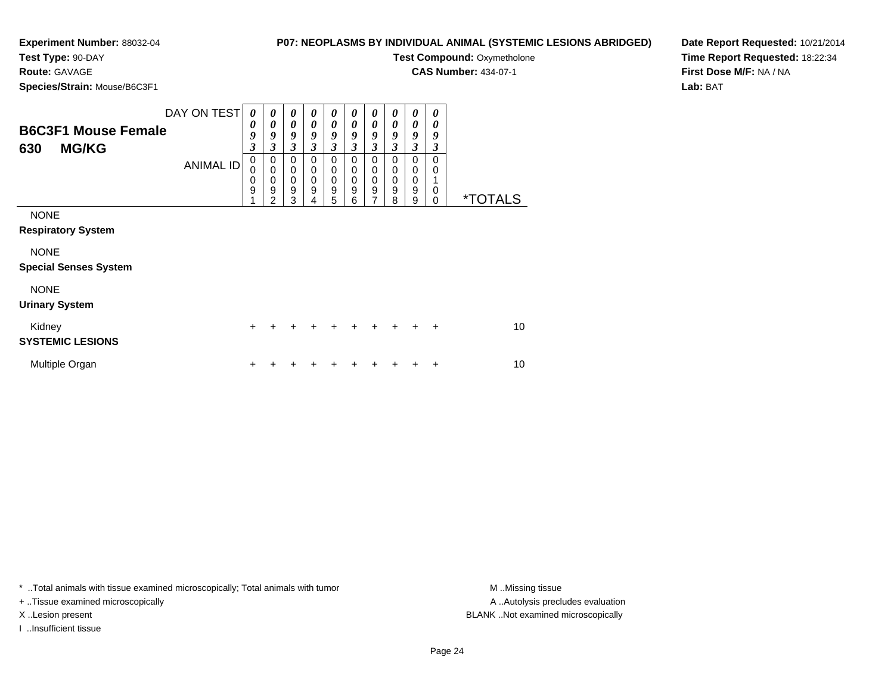## **P07: NEOPLASMS BY INDIVIDUAL ANIMAL (SYSTEMIC LESIONS ABRIDGED)**

**Test Compound: Oxymetholone CAS Number:** 434-07-1

**Test Type:** 90-DAY

**Route:** GAVAGE

**Species/Strain:** Mouse/B6C3F1

| - - - - - - - -                                   |                                 |                                                                             |                                                          |                                                        |                                                          |                                                |                                                |                                                               |                                                |                                      |                                                          |                       |
|---------------------------------------------------|---------------------------------|-----------------------------------------------------------------------------|----------------------------------------------------------|--------------------------------------------------------|----------------------------------------------------------|------------------------------------------------|------------------------------------------------|---------------------------------------------------------------|------------------------------------------------|--------------------------------------|----------------------------------------------------------|-----------------------|
| <b>B6C3F1 Mouse Female</b><br><b>MG/KG</b><br>630 | DAY ON TEST<br><b>ANIMAL ID</b> | 0<br>$\boldsymbol{\theta}$<br>9<br>$\boldsymbol{\beta}$<br>0<br>0<br>0<br>9 | 0<br>0<br>9<br>3<br>0<br>$\mathbf 0$<br>$\mathbf 0$<br>9 | 0<br>0<br>9<br>3<br>0<br>$\pmb{0}$<br>$\mathbf 0$<br>9 | 0<br>0<br>9<br>3<br>0<br>$\mathbf 0$<br>$\mathbf 0$<br>9 | 0<br>0<br>9<br>3<br>0<br>0<br>$\mathbf 0$<br>9 | 0<br>0<br>9<br>3<br>0<br>0<br>$\mathbf 0$<br>9 | 0<br>0<br>9<br>3<br>0<br>0<br>$\mathbf 0$<br>$\boldsymbol{9}$ | 0<br>0<br>9<br>3<br>0<br>0<br>$\mathbf 0$<br>9 | 0<br>0<br>9<br>3<br>0<br>0<br>0<br>9 | 0<br>$\boldsymbol{\theta}$<br>9<br>3<br>0<br>0<br>1<br>0 |                       |
|                                                   |                                 |                                                                             | 2                                                        | 3                                                      | 4                                                        | 5                                              | 6                                              | $\overline{7}$                                                | 8                                              | 9                                    | $\mathbf 0$                                              | <i><b>*TOTALS</b></i> |
| <b>NONE</b><br><b>Respiratory System</b>          |                                 |                                                                             |                                                          |                                                        |                                                          |                                                |                                                |                                                               |                                                |                                      |                                                          |                       |
| <b>NONE</b>                                       |                                 |                                                                             |                                                          |                                                        |                                                          |                                                |                                                |                                                               |                                                |                                      |                                                          |                       |
| <b>Special Senses System</b>                      |                                 |                                                                             |                                                          |                                                        |                                                          |                                                |                                                |                                                               |                                                |                                      |                                                          |                       |
| <b>NONE</b><br><b>Urinary System</b>              |                                 |                                                                             |                                                          |                                                        |                                                          |                                                |                                                |                                                               |                                                |                                      |                                                          |                       |
| Kidney<br><b>SYSTEMIC LESIONS</b>                 |                                 | $\div$                                                                      |                                                          |                                                        |                                                          |                                                |                                                |                                                               |                                                |                                      | ÷                                                        | 10                    |
| Multiple Organ                                    |                                 |                                                                             |                                                          |                                                        |                                                          |                                                |                                                |                                                               |                                                |                                      | +                                                        | 10                    |

\* ..Total animals with tissue examined microscopically; Total animals with tumor **M** . Missing tissue M ..Missing tissue

+ ..Tissue examined microscopically

I ..Insufficient tissue

A ..Autolysis precludes evaluation X ..Lesion present BLANK ..Not examined microscopically

**Date Report Requested:** 10/21/2014**Time Report Requested:** 18:22:34**First Dose M/F:** NA / NA**Lab:** BAT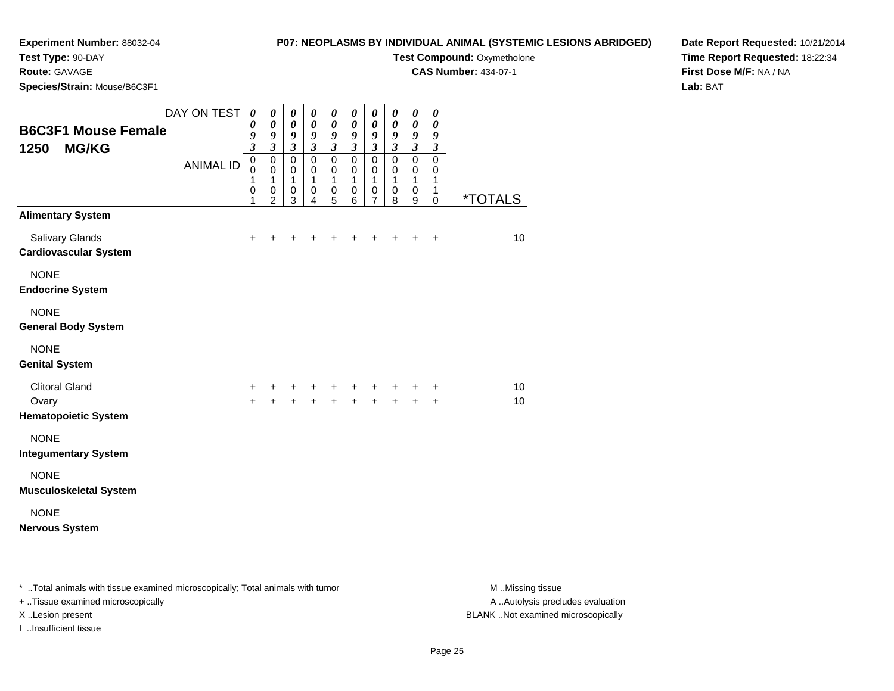## **Experiment Number:** 88032-04**Test Type:** 90-DAY

## **P07: NEOPLASMS BY INDIVIDUAL ANIMAL (SYSTEMIC LESIONS ABRIDGED)Test Compound: Oxymetholone**

**CAS Number:** 434-07-1

**Route:** GAVAGE

**Species/Strain:** Mouse/B6C3F1

**Date Report Requested:** 10/21/2014**Time Report Requested:** 18:22:34**First Dose M/F:** NA / NA**Lab:** BAT

| <b>B6C3F1 Mouse Female</b><br>1250<br><b>MG/KG</b><br><b>ANIMAL ID</b> | $\pmb{\theta}$<br>9<br>$\mathfrak{z}$<br>$\pmb{0}$<br>$\mathbf 0$ | $\boldsymbol{\theta}$<br>9<br>$\mathfrak{z}$<br>$\pmb{0}$<br>$\pmb{0}$ | 0<br>$\boldsymbol{\theta}$<br>9<br>$\mathfrak{z}$<br>$\pmb{0}$<br>$\mathbf 0$ | 0<br>$\boldsymbol{\theta}$<br>9<br>$\mathfrak{z}$<br>$\pmb{0}$<br>0 | 0<br>$\boldsymbol{\theta}$<br>9<br>$\overline{\mathbf{3}}$<br>$\pmb{0}$<br>0 | 0<br>0<br>9<br>$\overline{\mathbf{3}}$<br>$\pmb{0}$<br>0 | 0<br>$\boldsymbol{\theta}$<br>$\pmb{9}$<br>$\overline{\mathbf{3}}$<br>$\pmb{0}$<br>$\pmb{0}$ | 0<br>0<br>9<br>$\mathfrak{z}$<br>$\pmb{0}$<br>0 | 0<br>$\pmb{\theta}$<br>9<br>$\mathfrak{z}$<br>$\mathsf 0$<br>0 | 0<br>0<br>9<br>$\mathfrak{z}$<br>$\mathbf 0$<br>0 |                       |
|------------------------------------------------------------------------|-------------------------------------------------------------------|------------------------------------------------------------------------|-------------------------------------------------------------------------------|---------------------------------------------------------------------|------------------------------------------------------------------------------|----------------------------------------------------------|----------------------------------------------------------------------------------------------|-------------------------------------------------|----------------------------------------------------------------|---------------------------------------------------|-----------------------|
|                                                                        | 1<br>0<br>1                                                       | 1<br>$\pmb{0}$<br>$\overline{2}$                                       | 1<br>$\mathbf 0$<br>$\mathbf{3}$                                              | $\mathbf{1}$<br>$\pmb{0}$<br>4                                      | 1<br>$\mathbf 0$<br>5                                                        | $\mathbf{1}$<br>$\,0\,$<br>6                             | $\mathbf{1}$<br>$\,0\,$<br>$\overline{7}$                                                    | $\mathbf{1}$<br>0<br>8                          | 1<br>0<br>9                                                    | $\mathbf{1}$<br>1<br>0                            | <i><b>*TOTALS</b></i> |
| <b>Alimentary System</b>                                               |                                                                   |                                                                        |                                                                               |                                                                     |                                                                              |                                                          |                                                                                              |                                                 |                                                                |                                                   |                       |
| Salivary Glands<br><b>Cardiovascular System</b>                        | $\ddot{}$                                                         |                                                                        |                                                                               |                                                                     |                                                                              |                                                          |                                                                                              |                                                 | +                                                              | +                                                 | 10                    |
| <b>NONE</b><br><b>Endocrine System</b>                                 |                                                                   |                                                                        |                                                                               |                                                                     |                                                                              |                                                          |                                                                                              |                                                 |                                                                |                                                   |                       |
| <b>NONE</b><br><b>General Body System</b>                              |                                                                   |                                                                        |                                                                               |                                                                     |                                                                              |                                                          |                                                                                              |                                                 |                                                                |                                                   |                       |
| <b>NONE</b><br><b>Genital System</b>                                   |                                                                   |                                                                        |                                                                               |                                                                     |                                                                              |                                                          |                                                                                              |                                                 |                                                                |                                                   |                       |
| <b>Clitoral Gland</b><br>Ovary                                         | $\ddot{}$<br>$+$                                                  | +<br>$\ddot{+}$                                                        |                                                                               |                                                                     | + + + + + +<br>+ + + + + +                                                   |                                                          |                                                                                              |                                                 | $+$                                                            | +<br>$\ddot{}$                                    | 10<br>10              |
| <b>Hematopoietic System</b>                                            |                                                                   |                                                                        |                                                                               |                                                                     |                                                                              |                                                          |                                                                                              |                                                 |                                                                |                                                   |                       |
| <b>NONE</b><br><b>Integumentary System</b>                             |                                                                   |                                                                        |                                                                               |                                                                     |                                                                              |                                                          |                                                                                              |                                                 |                                                                |                                                   |                       |
| <b>NONE</b><br><b>Musculoskeletal System</b>                           |                                                                   |                                                                        |                                                                               |                                                                     |                                                                              |                                                          |                                                                                              |                                                 |                                                                |                                                   |                       |
| <b>NONE</b><br><b>Nervous System</b>                                   |                                                                   |                                                                        |                                                                               |                                                                     |                                                                              |                                                          |                                                                                              |                                                 |                                                                |                                                   |                       |

| * Total animals with tissue examined microscopically; Total animals with tumor | M Missing tissue                   |
|--------------------------------------------------------------------------------|------------------------------------|
| + Tissue examined microscopically                                              | A Autolysis precludes evaluation   |
| X Lesion present                                                               | BLANK Not examined microscopically |
| …Insufficient tissue                                                           |                                    |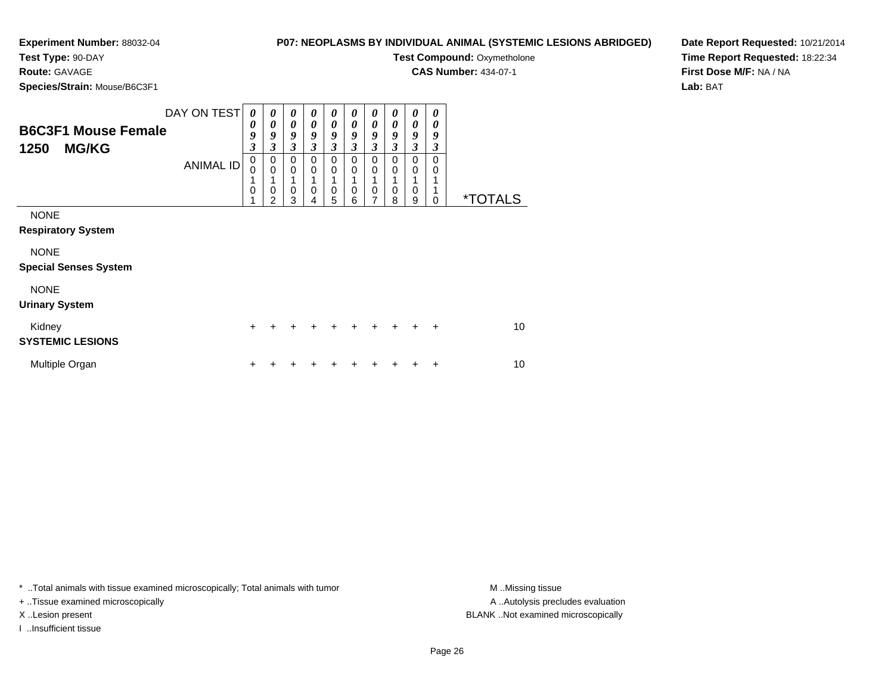## **Experiment Number:** 88032-04**Test Type:** 90-DAY

## **P07: NEOPLASMS BY INDIVIDUAL ANIMAL (SYSTEMIC LESIONS ABRIDGED)**

**Test Compound: Oxymetholone** 

**CAS Number:** 434-07-1

**Species/Strain:** Mouse/B6C3F1

**Route:** GAVAGE

**Date Report Requested:** 10/21/2014**Time Report Requested:** 18:22:34**First Dose M/F:** NA / NA**Lab:** BAT

| <b>B6C3F1 Mouse Female</b><br>1250<br><b>MG/KG</b>                                      | DAY ON TEST<br><b>ANIMAL ID</b> | 0<br>0<br>9<br>$\overline{\mathbf{3}}$<br>0<br>0<br>1<br>0<br>4 | 0<br>0<br>9<br>3<br>$\pmb{0}$<br>$\mathbf 0$<br>$\mathbf 0$<br>$\overline{2}$ | $\boldsymbol{\theta}$<br>$\boldsymbol{\theta}$<br>9<br>$\mathfrak{z}$<br>$\mathbf 0$<br>$\mathbf 0$<br>1<br>$\mathbf 0$<br>3 | $\boldsymbol{\theta}$<br>$\boldsymbol{\theta}$<br>9<br>$\mathfrak{z}$<br>$\mathbf 0$<br>$\mathbf 0$<br>$\mathbf 0$<br>4 | 0<br>$\boldsymbol{\theta}$<br>9<br>$\mathfrak{z}$<br>$\mathbf 0$<br>$\mathbf 0$<br>1<br>$\mathbf 0$<br>5 | 0<br>0<br>9<br>$\mathfrak{z}$<br>$\mathbf 0$<br>$\mathbf 0$<br>$\mathbf 0$<br>6 | 0<br>0<br>9<br>$\mathfrak{z}$<br>$\mathbf 0$<br>$\mathbf 0$<br>1<br>0<br>7 | 0<br>0<br>9<br>3<br>$\Omega$<br>0<br>0<br>8 | 0<br>$\boldsymbol{\theta}$<br>9<br>$\mathfrak{z}$<br>$\mathbf 0$<br>$\mathbf 0$<br>1<br>$\mathbf 0$<br>9 | 0<br>0<br>9<br>3<br>$\Omega$<br>$\Omega$<br>$\Omega$ | <i><b>*TOTALS</b></i> |
|-----------------------------------------------------------------------------------------|---------------------------------|-----------------------------------------------------------------|-------------------------------------------------------------------------------|------------------------------------------------------------------------------------------------------------------------------|-------------------------------------------------------------------------------------------------------------------------|----------------------------------------------------------------------------------------------------------|---------------------------------------------------------------------------------|----------------------------------------------------------------------------|---------------------------------------------|----------------------------------------------------------------------------------------------------------|------------------------------------------------------|-----------------------|
| <b>NONE</b><br><b>Respiratory System</b><br><b>NONE</b><br><b>Special Senses System</b> |                                 |                                                                 |                                                                               |                                                                                                                              |                                                                                                                         |                                                                                                          |                                                                                 |                                                                            |                                             |                                                                                                          |                                                      |                       |
| <b>NONE</b><br><b>Urinary System</b>                                                    |                                 |                                                                 |                                                                               |                                                                                                                              |                                                                                                                         |                                                                                                          |                                                                                 |                                                                            |                                             |                                                                                                          |                                                      |                       |
| Kidney<br><b>SYSTEMIC LESIONS</b>                                                       |                                 | $\ddot{}$                                                       | +                                                                             | +                                                                                                                            | +                                                                                                                       | $\ddot{}$                                                                                                | $\div$                                                                          | $\div$                                                                     | $\ddot{}$                                   | ÷                                                                                                        | $\ddot{}$                                            | 10                    |
| Multiple Organ                                                                          |                                 | +                                                               |                                                                               |                                                                                                                              |                                                                                                                         |                                                                                                          |                                                                                 |                                                                            |                                             |                                                                                                          | ٠                                                    | 10                    |

\* ..Total animals with tissue examined microscopically; Total animals with tumor **M** . Missing tissue M ..Missing tissue

+ ..Tissue examined microscopically

I ..Insufficient tissue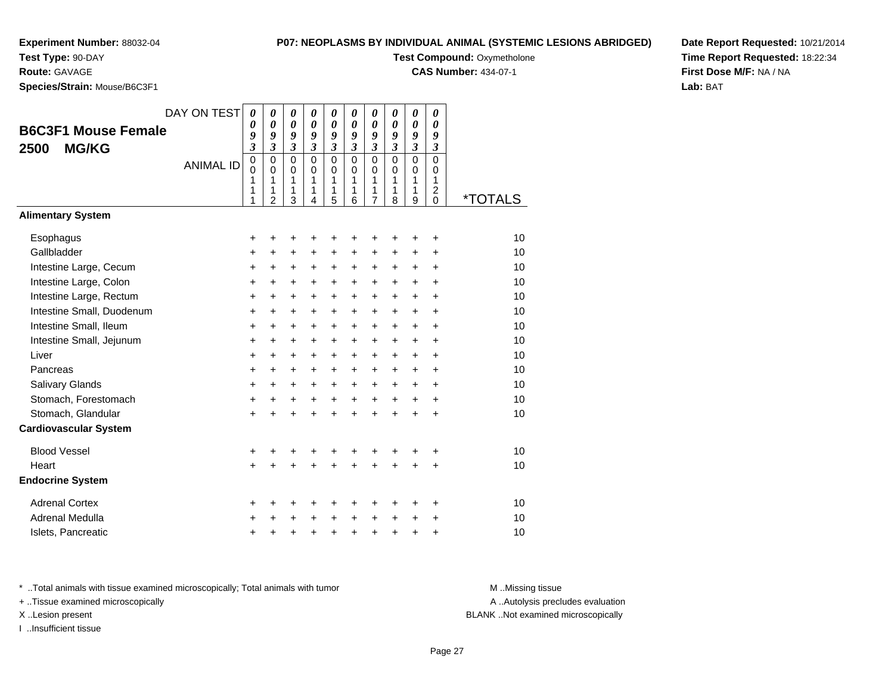**Test Type:** 90-DAY

**Route:** GAVAGE

**Species/Strain:** Mouse/B6C3F1

# **P07: NEOPLASMS BY INDIVIDUAL ANIMAL (SYSTEMIC LESIONS ABRIDGED)**

**Test Compound: Oxymetholone** 

**CAS Number:** 434-07-1

**Date Report Requested:** 10/21/2014**Time Report Requested:** 18:22:34**First Dose M/F:** NA / NA**Lab:** BAT

| <b>B6C3F1 Mouse Female</b><br><b>MG/KG</b><br>2500                                                                                                                                                  | DAY ON TEST<br><b>ANIMAL ID</b> | 0<br>0<br>9<br>$\overline{\mathbf{3}}$<br>$\mathsf 0$<br>0<br>1<br>1<br>1 | $\boldsymbol{\theta}$<br>$\boldsymbol{\theta}$<br>9<br>$\overline{\mathbf{3}}$<br>$\mathbf 0$<br>$\mathbf 0$<br>1<br>1<br>$\overline{2}$ | 0<br>$\boldsymbol{\theta}$<br>9<br>$\mathfrak{z}$<br>0<br>$\mathbf 0$<br>1<br>1<br>3 | 0<br>$\boldsymbol{\theta}$<br>9<br>$\mathfrak{z}$<br>$\Omega$<br>$\mathbf 0$<br>1<br>1<br>4 | 0<br>$\boldsymbol{\theta}$<br>9<br>$\mathfrak{z}$<br>$\mathbf 0$<br>$\mathbf 0$<br>1<br>1<br>5 | 0<br>$\boldsymbol{\theta}$<br>9<br>$\mathfrak{z}$<br>$\mathbf 0$<br>$\mathbf 0$<br>1<br>1<br>6 | 0<br>$\boldsymbol{\theta}$<br>9<br>$\mathfrak{z}$<br>$\mathbf 0$<br>$\mathbf 0$<br>1<br>1<br>$\overline{7}$ | 0<br>0<br>9<br>$\mathfrak{z}$<br>$\Omega$<br>$\Omega$<br>1<br>1<br>8         | 0<br>$\boldsymbol{\theta}$<br>9<br>$\mathfrak{z}$<br>$\mathbf 0$<br>$\mathbf 0$<br>1<br>1<br>9 | 0<br>$\boldsymbol{\theta}$<br>9<br>$\mathfrak{z}$<br>$\Omega$<br>$\mathbf 0$<br>1<br>$\boldsymbol{2}$<br>$\mathbf 0$ | <i><b>*TOTALS</b></i>                              |
|-----------------------------------------------------------------------------------------------------------------------------------------------------------------------------------------------------|---------------------------------|---------------------------------------------------------------------------|------------------------------------------------------------------------------------------------------------------------------------------|--------------------------------------------------------------------------------------|---------------------------------------------------------------------------------------------|------------------------------------------------------------------------------------------------|------------------------------------------------------------------------------------------------|-------------------------------------------------------------------------------------------------------------|------------------------------------------------------------------------------|------------------------------------------------------------------------------------------------|----------------------------------------------------------------------------------------------------------------------|----------------------------------------------------|
| <b>Alimentary System</b>                                                                                                                                                                            |                                 |                                                                           |                                                                                                                                          |                                                                                      |                                                                                             |                                                                                                |                                                                                                |                                                                                                             |                                                                              |                                                                                                |                                                                                                                      |                                                    |
| Esophagus<br>Gallbladder<br>Intestine Large, Cecum<br>Intestine Large, Colon<br>Intestine Large, Rectum<br>Intestine Small, Duodenum<br>Intestine Small, Ileum<br>Intestine Small, Jejunum<br>Liver |                                 | +<br>+<br>$\ddot{}$<br>$\ddot{}$<br>$\ddot{}$<br>+<br>+<br>+              | +<br>+<br>$\ddot{}$<br>$\ddot{}$<br>$\ddot{}$<br>$\ddot{}$<br>$\ddot{}$<br>+                                                             | +<br>+<br>$\ddot{}$<br>$\ddot{}$<br>$\ddot{}$<br>$\ddot{}$<br>$\ddot{}$<br>$\ddot{}$ | +<br>$\ddot{}$<br>$\ddot{}$<br>$\ddot{}$<br>$\ddot{}$<br>$\ddot{}$<br>$\ddot{}$             | +<br>+<br>$\ddot{}$<br>$\ddot{}$<br>$\ddot{}$<br>$\ddot{}$<br>$\ddot{}$<br>$\ddot{}$           | +<br>+<br>+<br>$\ddot{}$<br>$\ddot{}$<br>+<br>$+$<br>$\ddot{}$                                 | +<br>+<br>$\ddot{}$<br>$\ddot{}$<br>$\ddot{}$<br>$\ddot{}$<br>$\ddot{}$<br>$\ddot{}$                        | +<br>+<br>$\ddot{}$<br>$\ddot{}$<br>$\ddot{}$<br>$\ddot{}$<br>$\ddot{}$<br>+ | +<br>+<br>$\ddot{}$<br>$\ddot{}$<br>$+$<br>$\ddot{}$<br>$\ddot{}$<br>$\ddot{}$                 | +<br>+<br>$\ddot{}$<br>$\ddot{}$<br>$+$<br>$\ddot{}$<br>$\ddot{}$<br>$\ddot{}$                                       | 10<br>10<br>10<br>10<br>10<br>10<br>10<br>10<br>10 |
| Pancreas<br>Salivary Glands<br>Stomach, Forestomach                                                                                                                                                 |                                 | $\ddot{}$<br>$\ddot{}$<br>$\ddot{}$<br>+                                  | $\ddot{}$<br>$\ddot{}$<br>$\ddot{}$<br>+                                                                                                 | $\ddot{}$<br>$\ddot{}$<br>+<br>+                                                     | $\ddot{}$<br>$\ddot{}$<br>$+$<br>$\ddot{}$                                                  | $\ddot{}$<br>$\ddot{}$<br>$\ddot{}$<br>$\ddot{}$                                               | +<br>+<br>$+$<br>+                                                                             | $\ddot{}$<br>$\ddot{}$<br>$+$<br>$\ddot{}$                                                                  | $\ddot{}$<br>$\ddot{}$<br>$\ddot{}$<br>$\ddot{}$                             | $\ddot{}$<br>$\ddot{}$<br>$\ddot{}$<br>$\ddot{}$                                               | $+$<br>$+$<br>$+$<br>$\ddot{}$                                                                                       | 10<br>10<br>10<br>10                               |
| Stomach, Glandular<br><b>Cardiovascular System</b>                                                                                                                                                  |                                 | $\ddot{}$                                                                 |                                                                                                                                          | $\ddot{}$                                                                            |                                                                                             | $\ddot{}$                                                                                      | $\ddot{}$                                                                                      | $\ddot{}$                                                                                                   | $\ddot{}$                                                                    | $\ddot{}$                                                                                      | $\ddot{}$                                                                                                            |                                                    |
| <b>Blood Vessel</b><br>Heart<br><b>Endocrine System</b>                                                                                                                                             |                                 | +<br>$\ddot{}$                                                            | +                                                                                                                                        | +                                                                                    | +                                                                                           | +                                                                                              | +                                                                                              | +<br>÷                                                                                                      | +                                                                            | +<br>÷                                                                                         | $\ddot{}$<br>$\ddot{}$                                                                                               | 10<br>10                                           |
| <b>Adrenal Cortex</b><br>Adrenal Medulla<br>Islets, Pancreatic                                                                                                                                      |                                 | +<br>+<br>+                                                               | +<br>+                                                                                                                                   | +<br>+<br>+                                                                          | +                                                                                           | +<br>+<br>+                                                                                    | +<br>$\ddot{}$<br>+                                                                            | +<br>+<br>+                                                                                                 | +<br>$\ddot{}$<br>$\ddot{}$                                                  | +<br>+<br>+                                                                                    | +<br>+<br>+                                                                                                          | 10<br>10<br>10                                     |

\* ..Total animals with tissue examined microscopically; Total animals with tumor **M** . Missing tissue M ..Missing tissue

+ ..Tissue examined microscopically

X ..Lesion present BLANK ..Not examined microscopically

I ..Insufficient tissue

A ..Autolysis precludes evaluation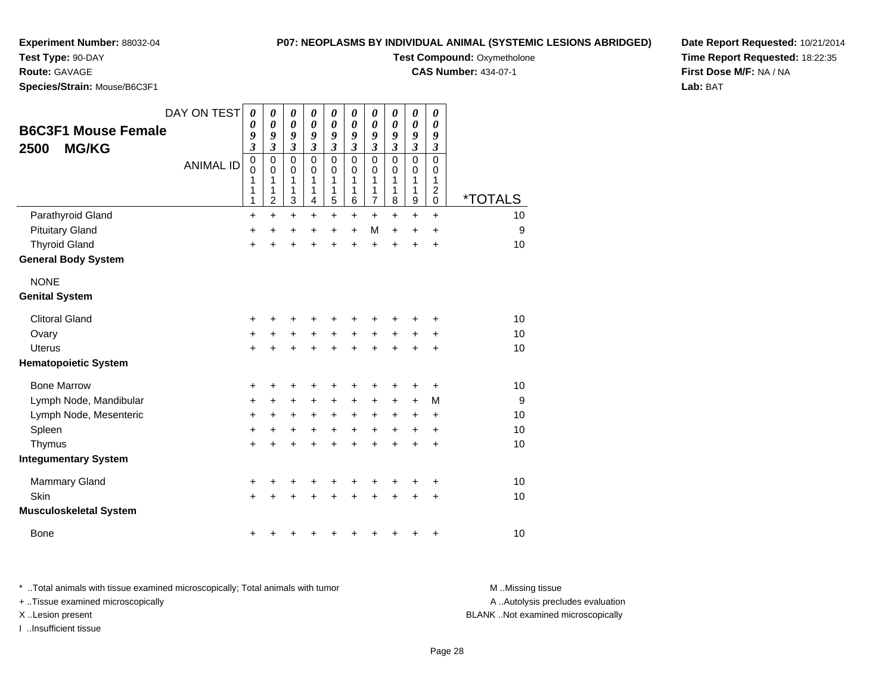### **P07: NEOPLASMS BY INDIVIDUAL ANIMAL (SYSTEMIC LESIONS ABRIDGED)**

**Test Compound: Oxymetholone CAS Number:** 434-07-1

**Experiment Number:** 88032-04

**Test Type:** 90-DAY

**Route:** GAVAGE

**Species/Strain:** Mouse/B6C3F1

|                               | DAY ON TEST      | 0<br>0         | 0<br>$\pmb{\theta}$           | 0<br>$\boldsymbol{\theta}$          | 0<br>$\boldsymbol{\theta}$                 | 0<br>$\boldsymbol{\theta}$                 | 0<br>$\boldsymbol{\theta}$          | 0<br>$\pmb{\theta}$                        | 0<br>$\pmb{\theta}$                        | 0<br>$\pmb{\theta}$                        | 0<br>$\boldsymbol{\theta}$          |                       |
|-------------------------------|------------------|----------------|-------------------------------|-------------------------------------|--------------------------------------------|--------------------------------------------|-------------------------------------|--------------------------------------------|--------------------------------------------|--------------------------------------------|-------------------------------------|-----------------------|
| <b>B6C3F1 Mouse Female</b>    |                  | 9              | 9                             | 9                                   | 9                                          | 9                                          | $\boldsymbol{g}$                    | 9                                          | 9                                          | 9                                          | 9                                   |                       |
| <b>MG/KG</b><br>2500          |                  | 3<br>$\pmb{0}$ | $\mathfrak{z}$<br>$\mathbf 0$ | $\boldsymbol{\beta}$<br>$\mathbf 0$ | $\boldsymbol{\mathfrak{z}}$<br>$\mathbf 0$ | $\boldsymbol{\mathfrak{z}}$<br>$\mathbf 0$ | $\boldsymbol{\beta}$<br>$\mathbf 0$ | $\boldsymbol{\mathfrak{z}}$<br>$\mathbf 0$ | $\boldsymbol{\mathfrak{z}}$<br>$\mathsf 0$ | $\boldsymbol{\mathfrak{z}}$<br>$\mathsf 0$ | $\boldsymbol{\beta}$<br>$\mathbf 0$ |                       |
|                               | <b>ANIMAL ID</b> | 0              | $\pmb{0}$                     | 0                                   | 0                                          | 0                                          | $\mathbf 0$                         | 0                                          | 0                                          | 0                                          | 0                                   |                       |
|                               |                  | 1<br>1         | 1<br>1                        | 1<br>1                              | 1<br>1                                     | 1<br>1                                     | 1<br>1                              | 1<br>1                                     | 1<br>1                                     | 1<br>1                                     | 1<br>$\overline{c}$                 |                       |
|                               |                  | 1              | $\overline{\mathbf{c}}$       | 3                                   | 4                                          | 5                                          | 6                                   | $\overline{7}$                             | 8                                          | 9                                          | 0                                   | <i><b>*TOTALS</b></i> |
| Parathyroid Gland             |                  | +              | +                             | $\ddot{}$                           | $\ddot{}$                                  | $\ddot{}$                                  | +                                   | +                                          | +                                          | $\ddot{}$                                  | +                                   | 10                    |
| <b>Pituitary Gland</b>        |                  | +              | +                             | +                                   | +                                          | +                                          | +                                   | М                                          | $+$                                        | $\ddot{}$                                  | +                                   | 9                     |
| <b>Thyroid Gland</b>          |                  | $\ddot{}$      | $\ddot{}$                     |                                     | $\ddot{}$                                  | Ŧ.                                         | $\ddot{}$                           | $\ddot{}$                                  | $\ddot{}$                                  | $\ddot{}$                                  | $\ddot{}$                           | 10                    |
| <b>General Body System</b>    |                  |                |                               |                                     |                                            |                                            |                                     |                                            |                                            |                                            |                                     |                       |
| <b>NONE</b>                   |                  |                |                               |                                     |                                            |                                            |                                     |                                            |                                            |                                            |                                     |                       |
| <b>Genital System</b>         |                  |                |                               |                                     |                                            |                                            |                                     |                                            |                                            |                                            |                                     |                       |
| <b>Clitoral Gland</b>         |                  | +              | +                             | +                                   | +                                          | +                                          | +                                   | +                                          | +                                          | +                                          | +                                   | 10                    |
| Ovary                         |                  | +              | $\ddot{}$                     | $\ddot{}$                           | $\ddot{}$                                  | +                                          | $\ddot{}$                           | +                                          | +                                          | +                                          | +                                   | 10                    |
| <b>Uterus</b>                 |                  | $\ddot{}$      | $\ddot{}$                     | +                                   | $\ddot{}$                                  | $\ddot{}$                                  | $\ddot{}$                           | $\ddot{}$                                  | $\ddot{}$                                  | $\ddot{}$                                  | $\ddot{}$                           | 10                    |
| <b>Hematopoietic System</b>   |                  |                |                               |                                     |                                            |                                            |                                     |                                            |                                            |                                            |                                     |                       |
| <b>Bone Marrow</b>            |                  | +              | +                             | +                                   | +                                          | +                                          | +                                   | ٠                                          | +                                          | +                                          | +                                   | 10                    |
| Lymph Node, Mandibular        |                  | +              | +                             | +                                   | +                                          | +                                          | +                                   | +                                          | +                                          | +                                          | M                                   | 9                     |
| Lymph Node, Mesenteric        |                  | $\ddot{}$      | $\ddot{}$                     | $\ddot{}$                           | $\ddot{}$                                  | +                                          | $\ddot{}$                           | $\ddot{}$                                  | $\ddot{}$                                  | $\ddot{}$                                  | $\ddot{}$                           | 10                    |
| Spleen                        |                  | +              | +                             | +                                   | +                                          | $\ddot{}$                                  | $\ddot{}$                           | $\ddot{}$                                  | $\ddot{}$                                  | $\ddot{}$                                  | $\ddot{}$                           | 10                    |
| Thymus                        |                  | $\ddot{}$      | $\ddot{}$                     | $\ddot{}$                           | $\ddot{}$                                  | $\ddot{}$                                  | $\ddot{}$                           | $\ddot{}$                                  | $\ddot{}$                                  | $\ddot{}$                                  | $\ddot{}$                           | 10                    |
| <b>Integumentary System</b>   |                  |                |                               |                                     |                                            |                                            |                                     |                                            |                                            |                                            |                                     |                       |
| <b>Mammary Gland</b>          |                  | +              | ٠                             |                                     | ٠                                          | +                                          | +                                   |                                            | +                                          | ٠                                          | +                                   | 10                    |
| Skin                          |                  | $\ddot{}$      | +                             |                                     |                                            | +                                          | +                                   |                                            | +                                          | +                                          | +                                   | 10                    |
| <b>Musculoskeletal System</b> |                  |                |                               |                                     |                                            |                                            |                                     |                                            |                                            |                                            |                                     |                       |
| <b>Bone</b>                   |                  | +              |                               |                                     |                                            |                                            | +                                   |                                            | +                                          | +                                          | +                                   | 10                    |
|                               |                  |                |                               |                                     |                                            |                                            |                                     |                                            |                                            |                                            |                                     |                       |

**Date Report Requested:** 10/21/2014**Time Report Requested:** 18:22:35**First Dose M/F:** NA / NA**Lab:** BAT

\* ..Total animals with tissue examined microscopically; Total animals with tumor **M** . Missing tissue M ..Missing tissue + ..Tissue examined microscopically X ..Lesion present BLANK ..Not examined microscopically

I ..Insufficient tissue

A ..Autolysis precludes evaluation